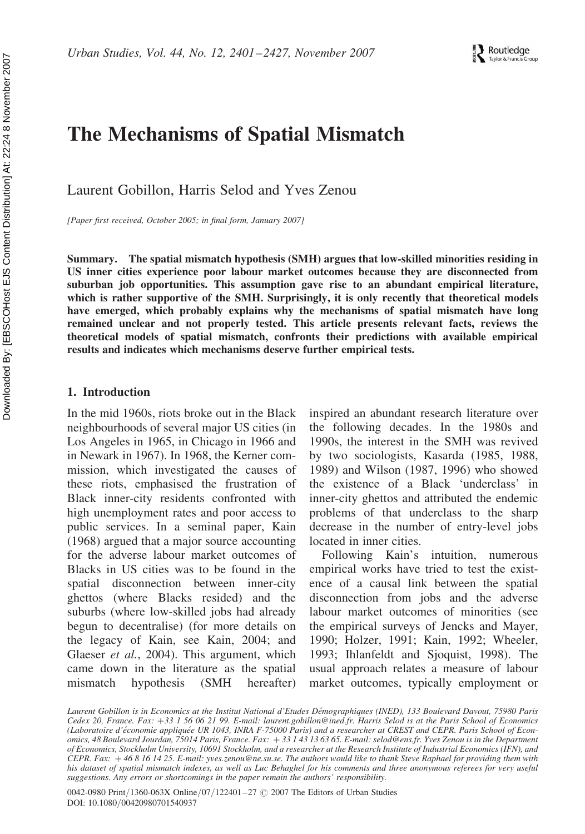# The Mechanisms of Spatial Mismatch

Laurent Gobillon, Harris Selod and Yves Zenou

[Paper first received, October 2005; in final form, January 2007]

Summary. The spatial mismatch hypothesis (SMH) argues that low-skilled minorities residing in US inner cities experience poor labour market outcomes because they are disconnected from suburban job opportunities. This assumption gave rise to an abundant empirical literature, which is rather supportive of the SMH. Surprisingly, it is only recently that theoretical models have emerged, which probably explains why the mechanisms of spatial mismatch have long remained unclear and not properly tested. This article presents relevant facts, reviews the theoretical models of spatial mismatch, confronts their predictions with available empirical results and indicates which mechanisms deserve further empirical tests.

## 1. Introduction

In the mid 1960s, riots broke out in the Black neighbourhoods of several major US cities (in Los Angeles in 1965, in Chicago in 1966 and in Newark in 1967). In 1968, the Kerner commission, which investigated the causes of these riots, emphasised the frustration of Black inner-city residents confronted with high unemployment rates and poor access to public services. In a seminal paper, Kain (1968) argued that a major source accounting for the adverse labour market outcomes of Blacks in US cities was to be found in the spatial disconnection between inner-city ghettos (where Blacks resided) and the suburbs (where low-skilled jobs had already begun to decentralise) (for more details on the legacy of Kain, see Kain, 2004; and Glaeser et al., 2004). This argument, which came down in the literature as the spatial mismatch hypothesis (SMH hereafter)

inspired an abundant research literature over the following decades. In the 1980s and 1990s, the interest in the SMH was revived by two sociologists, Kasarda (1985, 1988, 1989) and Wilson (1987, 1996) who showed the existence of a Black 'underclass' in inner-city ghettos and attributed the endemic problems of that underclass to the sharp decrease in the number of entry-level jobs located in inner cities.

Following Kain's intuition, numerous empirical works have tried to test the existence of a causal link between the spatial disconnection from jobs and the adverse labour market outcomes of minorities (see the empirical surveys of Jencks and Mayer, 1990; Holzer, 1991; Kain, 1992; Wheeler, 1993; Ihlanfeldt and Sjoquist, 1998). The usual approach relates a measure of labour market outcomes, typically employment or

0042-0980 Print/1360-063X Online/07/122401-27  $\odot$  2007 The Editors of Urban Studies DOI: 10.1080/00420980701540937

Laurent Gobillon is in Economics at the Institut National d'Etudes Démographiques (INED), 133 Boulevard Davout, 75980 Paris Cedex 20, France. Fax: +33 1 56 06 21 99. E-mail: laurent.gobillon@ined.fr. Harris Selod is at the Paris School of Economics (Laboratoire d'économie appliquée UR 1043, INRA F-75000 Paris) and a researcher at CREST and CEPR. Paris School of Economics, 48 Boulevard Jourdan, 75014 Paris, France. Fax: +33 1 43 13 63 65. E-mail: selod@ens.fr. Yves Zenou is in the Department of Economics, Stockholm University, 10691 Stockholm, and a researcher at the Research Institute of Industrial Economics (IFN), and CEPR. Fax: +46 8 16 14 25. E-mail: yves.zenou@ne.su.se. The authors would like to thank Steve Raphael for providing them with his dataset of spatial mismatch indexes, as well as Luc Behaghel for his comments and three anonymous referees for very useful suggestions. Any errors or shortcomings in the paper remain the authors' responsibility.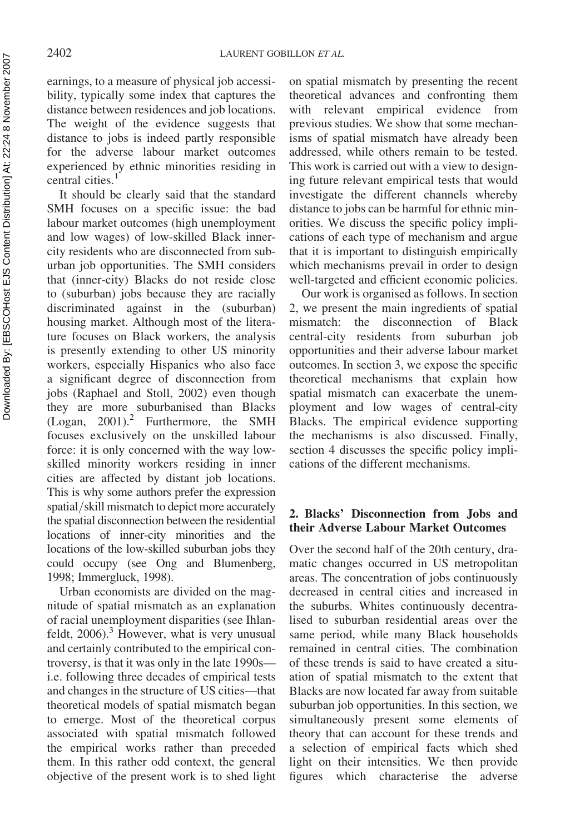earnings, to a measure of physical job accessibility, typically some index that captures the distance between residences and job locations. The weight of the evidence suggests that distance to jobs is indeed partly responsible for the adverse labour market outcomes experienced by ethnic minorities residing in central cities.

It should be clearly said that the standard SMH focuses on a specific issue: the bad labour market outcomes (high unemployment and low wages) of low-skilled Black innercity residents who are disconnected from suburban job opportunities. The SMH considers that (inner-city) Blacks do not reside close to (suburban) jobs because they are racially discriminated against in the (suburban) housing market. Although most of the literature focuses on Black workers, the analysis is presently extending to other US minority workers, especially Hispanics who also face a significant degree of disconnection from jobs (Raphael and Stoll, 2002) even though they are more suburbanised than Blacks  $($ Logan, 2001). $^2$  Furthermore, the SMH focuses exclusively on the unskilled labour force: it is only concerned with the way lowskilled minority workers residing in inner cities are affected by distant job locations. This is why some authors prefer the expression spatial/skill mismatch to depict more accurately the spatial disconnection between the residential locations of inner-city minorities and the locations of the low-skilled suburban jobs they could occupy (see Ong and Blumenberg, 1998; Immergluck, 1998).

Urban economists are divided on the magnitude of spatial mismatch as an explanation of racial unemployment disparities (see Ihlanfeldt,  $2006$ .<sup>3</sup> However, what is very unusual and certainly contributed to the empirical controversy, is that it was only in the late 1990s i.e. following three decades of empirical tests and changes in the structure of US cities—that theoretical models of spatial mismatch began to emerge. Most of the theoretical corpus associated with spatial mismatch followed the empirical works rather than preceded them. In this rather odd context, the general objective of the present work is to shed light

on spatial mismatch by presenting the recent theoretical advances and confronting them with relevant empirical evidence from previous studies. We show that some mechanisms of spatial mismatch have already been addressed, while others remain to be tested. This work is carried out with a view to designing future relevant empirical tests that would investigate the different channels whereby distance to jobs can be harmful for ethnic minorities. We discuss the specific policy implications of each type of mechanism and argue that it is important to distinguish empirically which mechanisms prevail in order to design well-targeted and efficient economic policies.

Our work is organised as follows. In section 2, we present the main ingredients of spatial mismatch: the disconnection of Black central-city residents from suburban job opportunities and their adverse labour market outcomes. In section 3, we expose the specific theoretical mechanisms that explain how spatial mismatch can exacerbate the unemployment and low wages of central-city Blacks. The empirical evidence supporting the mechanisms is also discussed. Finally, section 4 discusses the specific policy implications of the different mechanisms.

# 2. Blacks' Disconnection from Jobs and their Adverse Labour Market Outcomes

Over the second half of the 20th century, dramatic changes occurred in US metropolitan areas. The concentration of jobs continuously decreased in central cities and increased in the suburbs. Whites continuously decentralised to suburban residential areas over the same period, while many Black households remained in central cities. The combination of these trends is said to have created a situation of spatial mismatch to the extent that Blacks are now located far away from suitable suburban job opportunities. In this section, we simultaneously present some elements of theory that can account for these trends and a selection of empirical facts which shed light on their intensities. We then provide figures which characterise the adverse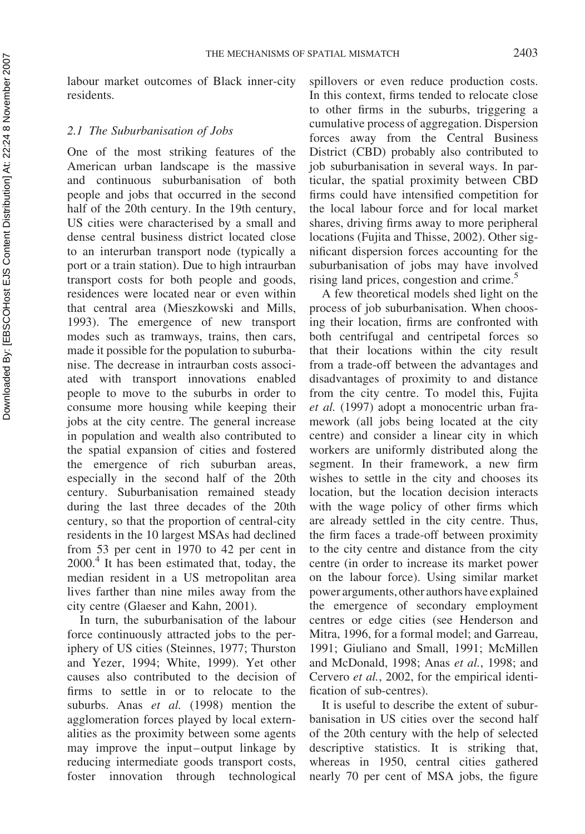labour market outcomes of Black inner-city residents.

#### 2.1 The Suburbanisation of Jobs

One of the most striking features of the American urban landscape is the massive and continuous suburbanisation of both people and jobs that occurred in the second half of the 20th century. In the 19th century, US cities were characterised by a small and dense central business district located close to an interurban transport node (typically a port or a train station). Due to high intraurban transport costs for both people and goods, residences were located near or even within that central area (Mieszkowski and Mills, 1993). The emergence of new transport modes such as tramways, trains, then cars, made it possible for the population to suburbanise. The decrease in intraurban costs associated with transport innovations enabled people to move to the suburbs in order to consume more housing while keeping their jobs at the city centre. The general increase in population and wealth also contributed to the spatial expansion of cities and fostered the emergence of rich suburban areas, especially in the second half of the 20th century. Suburbanisation remained steady during the last three decades of the 20th century, so that the proportion of central-city residents in the 10 largest MSAs had declined from 53 per cent in 1970 to 42 per cent in  $2000<sup>4</sup>$  It has been estimated that, today, the median resident in a US metropolitan area lives farther than nine miles away from the city centre (Glaeser and Kahn, 2001).

In turn, the suburbanisation of the labour force continuously attracted jobs to the periphery of US cities (Steinnes, 1977; Thurston and Yezer, 1994; White, 1999). Yet other causes also contributed to the decision of firms to settle in or to relocate to the suburbs. Anas et al. (1998) mention the agglomeration forces played by local externalities as the proximity between some agents may improve the input–output linkage by reducing intermediate goods transport costs, foster innovation through technological spillovers or even reduce production costs. In this context, firms tended to relocate close to other firms in the suburbs, triggering a cumulative process of aggregation. Dispersion forces away from the Central Business District (CBD) probably also contributed to job suburbanisation in several ways. In particular, the spatial proximity between CBD firms could have intensified competition for the local labour force and for local market shares, driving firms away to more peripheral locations (Fujita and Thisse, 2002). Other significant dispersion forces accounting for the suburbanisation of jobs may have involved rising land prices, congestion and crime.<sup>5</sup>

A few theoretical models shed light on the process of job suburbanisation. When choosing their location, firms are confronted with both centrifugal and centripetal forces so that their locations within the city result from a trade-off between the advantages and disadvantages of proximity to and distance from the city centre. To model this, Fujita et al. (1997) adopt a monocentric urban framework (all jobs being located at the city centre) and consider a linear city in which workers are uniformly distributed along the segment. In their framework, a new firm wishes to settle in the city and chooses its location, but the location decision interacts with the wage policy of other firms which are already settled in the city centre. Thus, the firm faces a trade-off between proximity to the city centre and distance from the city centre (in order to increase its market power on the labour force). Using similar market power arguments, other authors have explained the emergence of secondary employment centres or edge cities (see Henderson and Mitra, 1996, for a formal model; and Garreau, 1991; Giuliano and Small, 1991; McMillen and McDonald, 1998; Anas et al., 1998; and Cervero et al., 2002, for the empirical identification of sub-centres).

It is useful to describe the extent of suburbanisation in US cities over the second half of the 20th century with the help of selected descriptive statistics. It is striking that, whereas in 1950, central cities gathered nearly 70 per cent of MSA jobs, the figure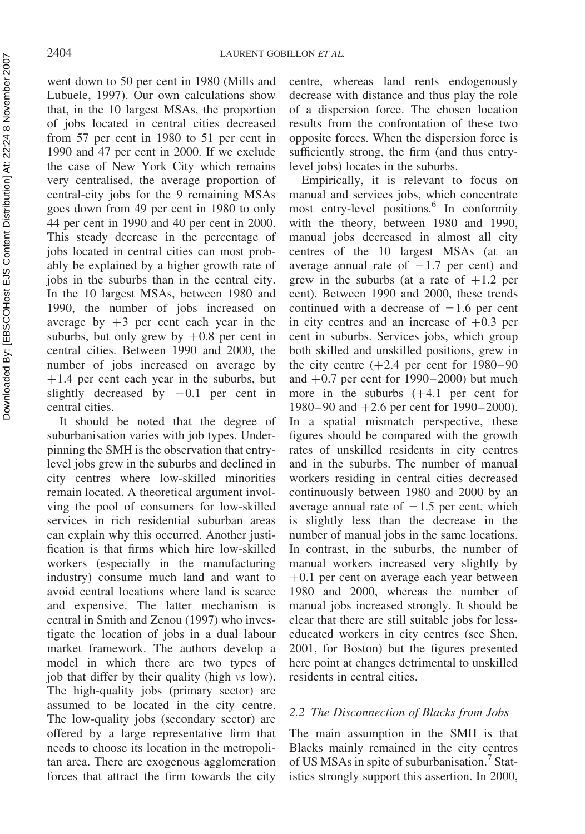went down to 50 per cent in 1980 (Mills and Lubuele, 1997). Our own calculations show that, in the 10 largest MSAs, the proportion of jobs located in central cities decreased from 57 per cent in 1980 to 51 per cent in 1990 and 47 per cent in 2000. If we exclude the case of New York City which remains very centralised, the average proportion of central-city jobs for the 9 remaining MSAs goes down from 49 per cent in 1980 to only 44 per cent in 1990 and 40 per cent in 2000. This steady decrease in the percentage of jobs located in central cities can most probably be explained by a higher growth rate of jobs in the suburbs than in the central city. In the 10 largest MSAs, between 1980 and 1990, the number of jobs increased on average by  $+3$  per cent each year in the suburbs, but only grew by  $+0.8$  per cent in central cities. Between 1990 and 2000, the number of jobs increased on average by  $+1.4$  per cent each year in the suburbs, but slightly decreased by  $-0.1$  per cent in central cities.

It should be noted that the degree of suburbanisation varies with job types. Underpinning the SMH is the observation that entrylevel jobs grew in the suburbs and declined in city centres where low-skilled minorities remain located. A theoretical argument involving the pool of consumers for low-skilled services in rich residential suburban areas can explain why this occurred. Another justification is that firms which hire low-skilled workers (especially in the manufacturing industry) consume much land and want to avoid central locations where land is scarce and expensive. The latter mechanism is central in Smith and Zenou (1997) who investigate the location of jobs in a dual labour market framework. The authors develop a model in which there are two types of job that differ by their quality (high vs low). The high-quality jobs (primary sector) are assumed to be located in the city centre. The low-quality jobs (secondary sector) are offered by a large representative firm that needs to choose its location in the metropolitan area. There are exogenous agglomeration forces that attract the firm towards the city

centre, whereas land rents endogenously decrease with distance and thus play the role of a dispersion force. The chosen location results from the confrontation of these two opposite forces. When the dispersion force is sufficiently strong, the firm (and thus entrylevel jobs) locates in the suburbs.

Empirically, it is relevant to focus on manual and services jobs, which concentrate most entry-level positions.<sup>6</sup> In conformity with the theory, between 1980 and 1990, manual jobs decreased in almost all city centres of the 10 largest MSAs (at an average annual rate of  $-1.7$  per cent) and grew in the suburbs (at a rate of  $+1.2$  per cent). Between 1990 and 2000, these trends continued with a decrease of  $-1.6$  per cent in city centres and an increase of  $+0.3$  per cent in suburbs. Services jobs, which group both skilled and unskilled positions, grew in the city centre  $(+2.4$  per cent for 1980–90 and  $+0.7$  per cent for 1990–2000) but much more in the suburbs  $(+4.1)$  per cent for 1980–90 and  $+2.6$  per cent for 1990–2000). In a spatial mismatch perspective, these figures should be compared with the growth rates of unskilled residents in city centres and in the suburbs. The number of manual workers residing in central cities decreased continuously between 1980 and 2000 by an average annual rate of  $-1.5$  per cent, which is slightly less than the decrease in the number of manual jobs in the same locations. In contrast, in the suburbs, the number of manual workers increased very slightly by  $+0.1$  per cent on average each year between 1980 and 2000, whereas the number of manual jobs increased strongly. It should be clear that there are still suitable jobs for lesseducated workers in city centres (see Shen, 2001, for Boston) but the figures presented here point at changes detrimental to unskilled residents in central cities.

# 2.2 The Disconnection of Blacks from Jobs

The main assumption in the SMH is that Blacks mainly remained in the city centres of US MSAs in spite of suburbanisation.<sup>7</sup> Statistics strongly support this assertion. In 2000,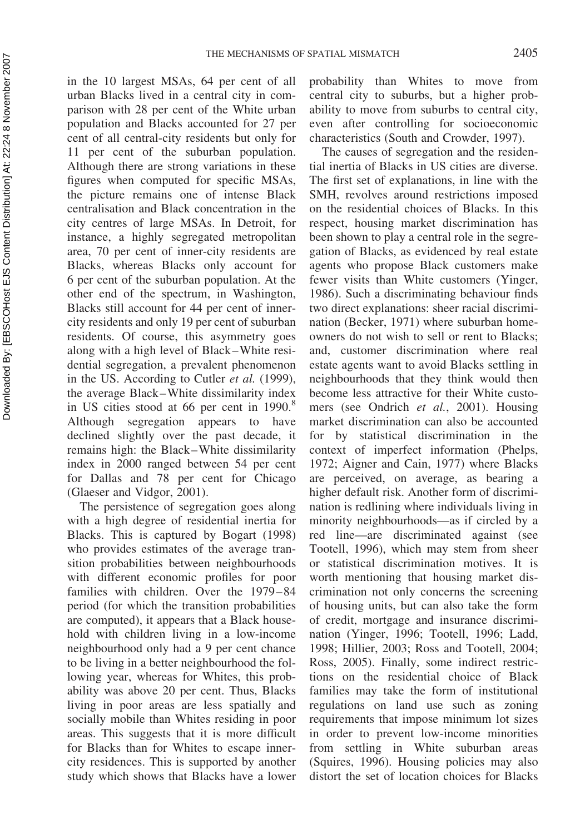in the 10 largest MSAs, 64 per cent of all urban Blacks lived in a central city in comparison with 28 per cent of the White urban population and Blacks accounted for 27 per cent of all central-city residents but only for 11 per cent of the suburban population. Although there are strong variations in these figures when computed for specific MSAs, the picture remains one of intense Black centralisation and Black concentration in the city centres of large MSAs. In Detroit, for instance, a highly segregated metropolitan area, 70 per cent of inner-city residents are Blacks, whereas Blacks only account for 6 per cent of the suburban population. At the other end of the spectrum, in Washington, Blacks still account for 44 per cent of innercity residents and only 19 per cent of suburban residents. Of course, this asymmetry goes along with a high level of Black–White residential segregation, a prevalent phenomenon in the US. According to Cutler *et al.* (1999), the average Black–White dissimilarity index in US cities stood at 66 per cent in  $1990$ .<sup>8</sup> Although segregation appears to have declined slightly over the past decade, it remains high: the Black–White dissimilarity index in 2000 ranged between 54 per cent for Dallas and 78 per cent for Chicago (Glaeser and Vidgor, 2001).

The persistence of segregation goes along with a high degree of residential inertia for Blacks. This is captured by Bogart (1998) who provides estimates of the average transition probabilities between neighbourhoods with different economic profiles for poor families with children. Over the 1979–84 period (for which the transition probabilities are computed), it appears that a Black household with children living in a low-income neighbourhood only had a 9 per cent chance to be living in a better neighbourhood the following year, whereas for Whites, this probability was above 20 per cent. Thus, Blacks living in poor areas are less spatially and socially mobile than Whites residing in poor areas. This suggests that it is more difficult for Blacks than for Whites to escape innercity residences. This is supported by another study which shows that Blacks have a lower probability than Whites to move from central city to suburbs, but a higher probability to move from suburbs to central city, even after controlling for socioeconomic characteristics (South and Crowder, 1997).

The causes of segregation and the residential inertia of Blacks in US cities are diverse. The first set of explanations, in line with the SMH, revolves around restrictions imposed on the residential choices of Blacks. In this respect, housing market discrimination has been shown to play a central role in the segregation of Blacks, as evidenced by real estate agents who propose Black customers make fewer visits than White customers (Yinger, 1986). Such a discriminating behaviour finds two direct explanations: sheer racial discrimination (Becker, 1971) where suburban homeowners do not wish to sell or rent to Blacks; and, customer discrimination where real estate agents want to avoid Blacks settling in neighbourhoods that they think would then become less attractive for their White customers (see Ondrich *et al.*, 2001). Housing market discrimination can also be accounted for by statistical discrimination in the context of imperfect information (Phelps, 1972; Aigner and Cain, 1977) where Blacks are perceived, on average, as bearing a higher default risk. Another form of discrimination is redlining where individuals living in minority neighbourhoods—as if circled by a red line—are discriminated against (see Tootell, 1996), which may stem from sheer or statistical discrimination motives. It is worth mentioning that housing market discrimination not only concerns the screening of housing units, but can also take the form of credit, mortgage and insurance discrimination (Yinger, 1996; Tootell, 1996; Ladd, 1998; Hillier, 2003; Ross and Tootell, 2004; Ross, 2005). Finally, some indirect restrictions on the residential choice of Black families may take the form of institutional regulations on land use such as zoning requirements that impose minimum lot sizes in order to prevent low-income minorities from settling in White suburban areas (Squires, 1996). Housing policies may also distort the set of location choices for Blacks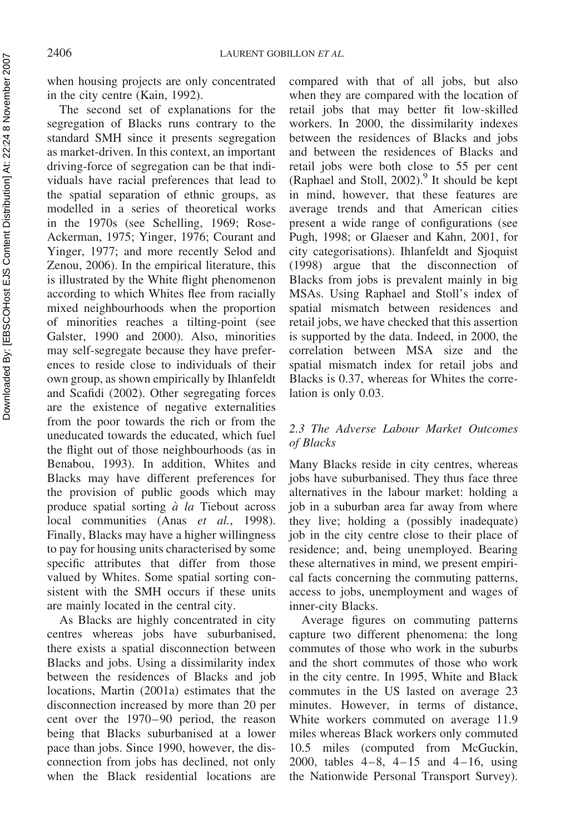when housing projects are only concentrated in the city centre (Kain, 1992).

The second set of explanations for the segregation of Blacks runs contrary to the standard SMH since it presents segregation as market-driven. In this context, an important driving-force of segregation can be that individuals have racial preferences that lead to the spatial separation of ethnic groups, as modelled in a series of theoretical works in the 1970s (see Schelling, 1969; Rose-Ackerman, 1975; Yinger, 1976; Courant and Yinger, 1977; and more recently Selod and Zenou, 2006). In the empirical literature, this is illustrated by the White flight phenomenon according to which Whites flee from racially mixed neighbourhoods when the proportion of minorities reaches a tilting-point (see Galster, 1990 and 2000). Also, minorities may self-segregate because they have preferences to reside close to individuals of their own group, as shown empirically by Ihlanfeldt and Scafidi (2002). Other segregating forces are the existence of negative externalities from the poor towards the rich or from the uneducated towards the educated, which fuel the flight out of those neighbourhoods (as in Benabou, 1993). In addition, Whites and Blacks may have different preferences for the provision of public goods which may produce spatial sorting  $\dot{a}$  la Tiebout across local communities (Anas et al., 1998). Finally, Blacks may have a higher willingness to pay for housing units characterised by some specific attributes that differ from those valued by Whites. Some spatial sorting consistent with the SMH occurs if these units are mainly located in the central city.

As Blacks are highly concentrated in city centres whereas jobs have suburbanised, there exists a spatial disconnection between Blacks and jobs. Using a dissimilarity index between the residences of Blacks and job locations, Martin (2001a) estimates that the disconnection increased by more than 20 per cent over the 1970–90 period, the reason being that Blacks suburbanised at a lower pace than jobs. Since 1990, however, the disconnection from jobs has declined, not only when the Black residential locations are compared with that of all jobs, but also when they are compared with the location of retail jobs that may better fit low-skilled workers. In 2000, the dissimilarity indexes between the residences of Blacks and jobs and between the residences of Blacks and retail jobs were both close to 55 per cent (Raphael and Stoll,  $2002$ ). It should be kept in mind, however, that these features are average trends and that American cities present a wide range of configurations (see Pugh, 1998; or Glaeser and Kahn, 2001, for city categorisations). Ihlanfeldt and Sjoquist (1998) argue that the disconnection of Blacks from jobs is prevalent mainly in big MSAs. Using Raphael and Stoll's index of spatial mismatch between residences and retail jobs, we have checked that this assertion is supported by the data. Indeed, in 2000, the correlation between MSA size and the spatial mismatch index for retail jobs and Blacks is 0.37, whereas for Whites the correlation is only 0.03.

# 2.3 The Adverse Labour Market Outcomes of Blacks

Many Blacks reside in city centres, whereas jobs have suburbanised. They thus face three alternatives in the labour market: holding a job in a suburban area far away from where they live; holding a (possibly inadequate) job in the city centre close to their place of residence; and, being unemployed. Bearing these alternatives in mind, we present empirical facts concerning the commuting patterns, access to jobs, unemployment and wages of inner-city Blacks.

Average figures on commuting patterns capture two different phenomena: the long commutes of those who work in the suburbs and the short commutes of those who work in the city centre. In 1995, White and Black commutes in the US lasted on average 23 minutes. However, in terms of distance, White workers commuted on average 11.9 miles whereas Black workers only commuted 10.5 miles (computed from McGuckin, 2000, tables 4–8, 4–15 and 4–16, using the Nationwide Personal Transport Survey).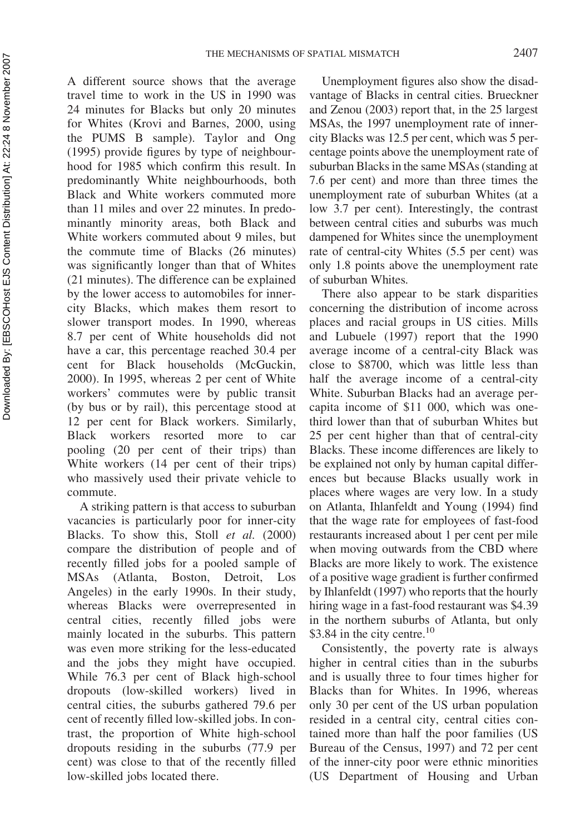A different source shows that the average travel time to work in the US in 1990 was 24 minutes for Blacks but only 20 minutes for Whites (Krovi and Barnes, 2000, using the PUMS B sample). Taylor and Ong (1995) provide figures by type of neighbourhood for 1985 which confirm this result. In predominantly White neighbourhoods, both Black and White workers commuted more than 11 miles and over 22 minutes. In predominantly minority areas, both Black and White workers commuted about 9 miles, but the commute time of Blacks (26 minutes) was significantly longer than that of Whites (21 minutes). The difference can be explained by the lower access to automobiles for innercity Blacks, which makes them resort to slower transport modes. In 1990, whereas 8.7 per cent of White households did not have a car, this percentage reached 30.4 per cent for Black households (McGuckin, 2000). In 1995, whereas 2 per cent of White workers' commutes were by public transit (by bus or by rail), this percentage stood at 12 per cent for Black workers. Similarly, Black workers resorted more to pooling (20 per cent of their trips) than White workers (14 per cent of their trips) who massively used their private vehicle to commute.

A striking pattern is that access to suburban vacancies is particularly poor for inner-city Blacks. To show this, Stoll et al. (2000) compare the distribution of people and of recently filled jobs for a pooled sample of MSAs (Atlanta, Boston, Detroit, Los Angeles) in the early 1990s. In their study, whereas Blacks were overrepresented in central cities, recently filled jobs were mainly located in the suburbs. This pattern was even more striking for the less-educated and the jobs they might have occupied. While 76.3 per cent of Black high-school dropouts (low-skilled workers) lived central cities, the suburbs gathered 79.6 per cent of recently filled low-skilled jobs. In contrast, the proportion of White high-school dropouts residing in the suburbs (77.9 per cent) was close to that of the recently filled low-skilled jobs located there.

Unemployment figures also show the disadvantage of Blacks in central cities. Brueckner and Zenou (2003) report that, in the 25 largest MSAs, the 1997 unemployment rate of innercity Blacks was 12.5 per cent, which was 5 percentage points above the unemployment rate of suburban Blacks in the same MSAs (standing at 7.6 per cent) and more than three times the unemployment rate of suburban Whites (at a low 3.7 per cent). Interestingly, the contrast between central cities and suburbs was much dampened for Whites since the unemployment rate of central-city Whites (5.5 per cent) was only 1.8 points above the unemployment rate of suburban Whites.

There also appear to be stark disparities concerning the distribution of income across places and racial groups in US cities. Mills and Lubuele (1997) report that the 1990 average income of a central-city Black was close to \$8700, which was little less than half the average income of a central-city White. Suburban Blacks had an average percapita income of \$11 000, which was onethird lower than that of suburban Whites but 25 per cent higher than that of central-city Blacks. These income differences are likely to be explained not only by human capital differences but because Blacks usually work in places where wages are very low. In a study on Atlanta, Ihlanfeldt and Young (1994) find that the wage rate for employees of fast-food restaurants increased about 1 per cent per mile when moving outwards from the CBD where Blacks are more likely to work. The existence of a positive wage gradient is further confirmed by Ihlanfeldt (1997) who reports that the hourly hiring wage in a fast-food restaurant was \$4.39 in the northern suburbs of Atlanta, but only \$3.84 in the city centre.<sup>10</sup>

Consistently, the poverty rate is always higher in central cities than in the suburbs and is usually three to four times higher for Blacks than for Whites. In 1996, whereas only 30 per cent of the US urban population resided in a central city, central cities contained more than half the poor families (US Bureau of the Census, 1997) and 72 per cent of the inner-city poor were ethnic minorities (US Department of Housing and Urban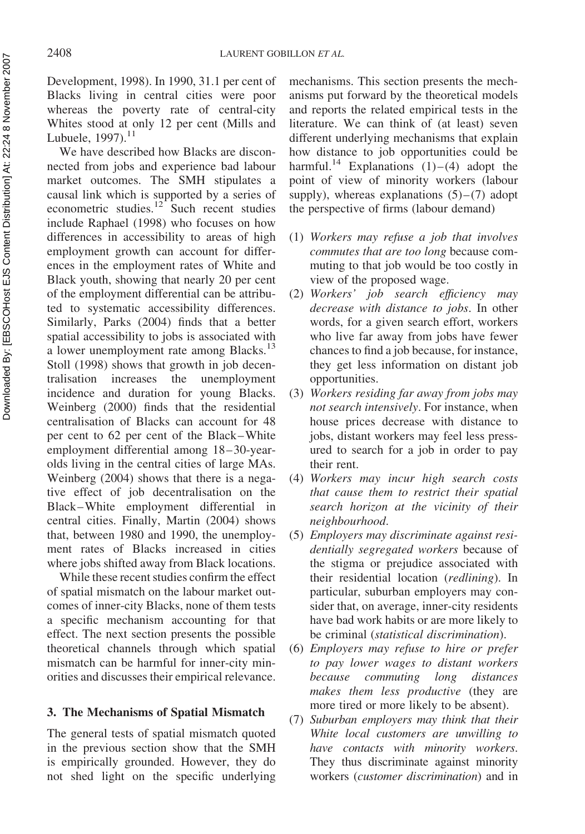Development, 1998). In 1990, 31.1 per cent of Blacks living in central cities were poor whereas the poverty rate of central-city Whites stood at only 12 per cent (Mills and Lubuele, 1997).<sup>11</sup>

We have described how Blacks are disconnected from jobs and experience bad labour market outcomes. The SMH stipulates a causal link which is supported by a series of econometric studies.<sup>12</sup> Such recent studies include Raphael (1998) who focuses on how differences in accessibility to areas of high employment growth can account for differences in the employment rates of White and Black youth, showing that nearly 20 per cent of the employment differential can be attributed to systematic accessibility differences. Similarly, Parks (2004) finds that a better spatial accessibility to jobs is associated with a lower unemployment rate among Blacks.<sup>13</sup> Stoll (1998) shows that growth in job decentralisation increases the unemployment incidence and duration for young Blacks. Weinberg (2000) finds that the residential centralisation of Blacks can account for 48 per cent to 62 per cent of the Black–White employment differential among 18–30-yearolds living in the central cities of large MAs. Weinberg (2004) shows that there is a negative effect of job decentralisation on the Black–White employment differential central cities. Finally, Martin (2004) shows that, between 1980 and 1990, the unemployment rates of Blacks increased in cities where jobs shifted away from Black locations.

While these recent studies confirm the effect of spatial mismatch on the labour market outcomes of inner-city Blacks, none of them tests a specific mechanism accounting for that effect. The next section presents the possible theoretical channels through which spatial mismatch can be harmful for inner-city minorities and discusses their empirical relevance.

### 3. The Mechanisms of Spatial Mismatch

The general tests of spatial mismatch quoted in the previous section show that the SMH is empirically grounded. However, they do not shed light on the specific underlying

mechanisms. This section presents the mechanisms put forward by the theoretical models and reports the related empirical tests in the literature. We can think of (at least) seven different underlying mechanisms that explain how distance to job opportunities could be harmful.<sup>14</sup> Explanations  $(1)$ – $(4)$  adopt the point of view of minority workers (labour supply), whereas explanations  $(5)-(7)$  adopt the perspective of firms (labour demand)

- (1) Workers may refuse a job that involves commutes that are too long because commuting to that job would be too costly in view of the proposed wage.
- (2) Workers' job search efficiency may decrease with distance to jobs. In other words, for a given search effort, workers who live far away from jobs have fewer chances to find a job because, for instance, they get less information on distant job opportunities.
- (3) Workers residing far away from jobs may not search intensively. For instance, when house prices decrease with distance to jobs, distant workers may feel less pressured to search for a job in order to pay their rent.
- (4) Workers may incur high search costs that cause them to restrict their spatial search horizon at the vicinity of their neighbourhood.
- (5) Employers may discriminate against residentially segregated workers because of the stigma or prejudice associated with their residential location (redlining). In particular, suburban employers may consider that, on average, inner-city residents have bad work habits or are more likely to be criminal (statistical discrimination).
- (6) Employers may refuse to hire or prefer to pay lower wages to distant workers because commuting long distances makes them less productive (they are more tired or more likely to be absent).
- (7) Suburban employers may think that their White local customers are unwilling to have contacts with minority workers. They thus discriminate against minority workers (customer discrimination) and in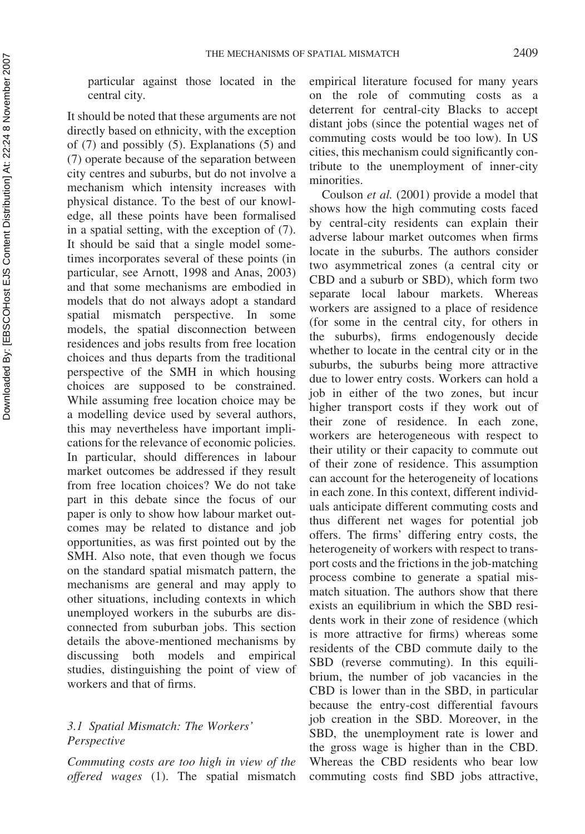particular against those located in the central city.

It should be noted that these arguments are not directly based on ethnicity, with the exception of (7) and possibly (5). Explanations (5) and (7) operate because of the separation between city centres and suburbs, but do not involve a mechanism which intensity increases with physical distance. To the best of our knowledge, all these points have been formalised in a spatial setting, with the exception of (7). It should be said that a single model sometimes incorporates several of these points (in particular, see Arnott, 1998 and Anas, 2003) and that some mechanisms are embodied in models that do not always adopt a standard spatial mismatch perspective. In some models, the spatial disconnection between residences and jobs results from free location choices and thus departs from the traditional perspective of the SMH in which housing choices are supposed to be constrained. While assuming free location choice may be a modelling device used by several authors, this may nevertheless have important implications for the relevance of economic policies. In particular, should differences in labour market outcomes be addressed if they result from free location choices? We do not take part in this debate since the focus of our paper is only to show how labour market outcomes may be related to distance and job opportunities, as was first pointed out by the SMH. Also note, that even though we focus on the standard spatial mismatch pattern, the mechanisms are general and may apply to other situations, including contexts in which unemployed workers in the suburbs are disconnected from suburban jobs. This section details the above-mentioned mechanisms by discussing both models and empirical studies, distinguishing the point of view of workers and that of firms.

# 3.1 Spatial Mismatch: The Workers' **Perspective**

Commuting costs are too high in view of the offered wages (1). The spatial mismatch empirical literature focused for many years on the role of commuting costs as a deterrent for central-city Blacks to accept distant jobs (since the potential wages net of commuting costs would be too low). In US cities, this mechanism could significantly contribute to the unemployment of inner-city minorities.

Coulson et al. (2001) provide a model that shows how the high commuting costs faced by central-city residents can explain their adverse labour market outcomes when firms locate in the suburbs. The authors consider two asymmetrical zones (a central city or CBD and a suburb or SBD), which form two separate local labour markets. Whereas workers are assigned to a place of residence (for some in the central city, for others in the suburbs), firms endogenously decide whether to locate in the central city or in the suburbs, the suburbs being more attractive due to lower entry costs. Workers can hold a job in either of the two zones, but incur higher transport costs if they work out of their zone of residence. In each zone, workers are heterogeneous with respect to their utility or their capacity to commute out of their zone of residence. This assumption can account for the heterogeneity of locations in each zone. In this context, different individuals anticipate different commuting costs and thus different net wages for potential job offers. The firms' differing entry costs, the heterogeneity of workers with respect to transport costs and the frictions in the job-matching process combine to generate a spatial mismatch situation. The authors show that there exists an equilibrium in which the SBD residents work in their zone of residence (which is more attractive for firms) whereas some residents of the CBD commute daily to the SBD (reverse commuting). In this equilibrium, the number of job vacancies in the CBD is lower than in the SBD, in particular because the entry-cost differential favours job creation in the SBD. Moreover, in the SBD, the unemployment rate is lower and the gross wage is higher than in the CBD. Whereas the CBD residents who bear low commuting costs find SBD jobs attractive,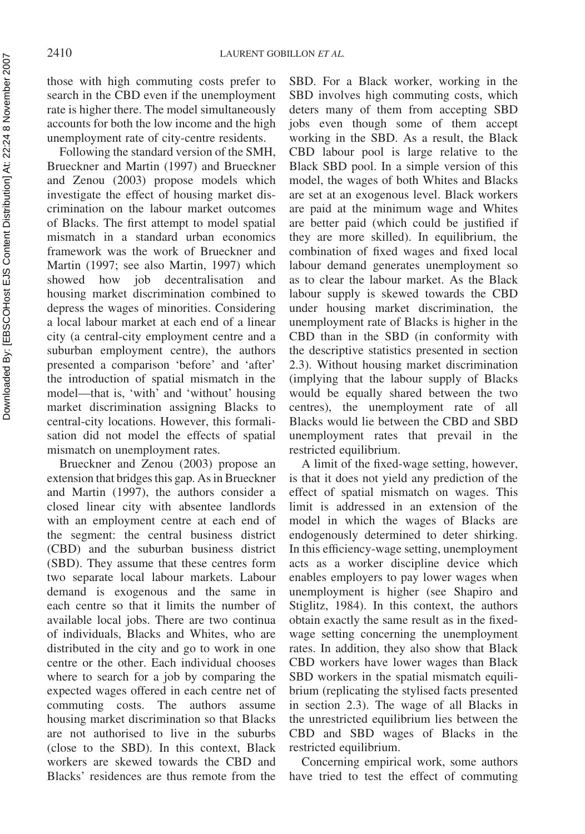those with high commuting costs prefer to search in the CBD even if the unemployment rate is higher there. The model simultaneously accounts for both the low income and the high unemployment rate of city-centre residents.

Following the standard version of the SMH, Brueckner and Martin (1997) and Brueckner and Zenou (2003) propose models which investigate the effect of housing market discrimination on the labour market outcomes of Blacks. The first attempt to model spatial mismatch in a standard urban economics framework was the work of Brueckner and Martin (1997; see also Martin, 1997) which showed how job decentralisation and housing market discrimination combined to depress the wages of minorities. Considering a local labour market at each end of a linear city (a central-city employment centre and a suburban employment centre), the authors presented a comparison 'before' and 'after' the introduction of spatial mismatch in the model—that is, 'with' and 'without' housing market discrimination assigning Blacks to central-city locations. However, this formalisation did not model the effects of spatial mismatch on unemployment rates.

Brueckner and Zenou (2003) propose an extension that bridges this gap. As in Brueckner and Martin (1997), the authors consider a closed linear city with absentee landlords with an employment centre at each end of the segment: the central business district (CBD) and the suburban business district (SBD). They assume that these centres form two separate local labour markets. Labour demand is exogenous and the same each centre so that it limits the number of available local jobs. There are two continua of individuals, Blacks and Whites, who are distributed in the city and go to work in one centre or the other. Each individual chooses where to search for a job by comparing the expected wages offered in each centre net of commuting costs. The authors assume housing market discrimination so that Blacks are not authorised to live in the suburbs (close to the SBD). In this context, Black workers are skewed towards the CBD and Blacks' residences are thus remote from the

SBD. For a Black worker, working in the SBD involves high commuting costs, which deters many of them from accepting SBD jobs even though some of them accept working in the SBD. As a result, the Black CBD labour pool is large relative to the Black SBD pool. In a simple version of this model, the wages of both Whites and Blacks are set at an exogenous level. Black workers are paid at the minimum wage and Whites are better paid (which could be justified if they are more skilled). In equilibrium, the combination of fixed wages and fixed local labour demand generates unemployment so as to clear the labour market. As the Black labour supply is skewed towards the CBD under housing market discrimination, the unemployment rate of Blacks is higher in the CBD than in the SBD (in conformity with the descriptive statistics presented in section 2.3). Without housing market discrimination (implying that the labour supply of Blacks would be equally shared between the two centres), the unemployment rate of all Blacks would lie between the CBD and SBD unemployment rates that prevail in the restricted equilibrium.

A limit of the fixed-wage setting, however, is that it does not yield any prediction of the effect of spatial mismatch on wages. This limit is addressed in an extension of the model in which the wages of Blacks are endogenously determined to deter shirking. In this efficiency-wage setting, unemployment acts as a worker discipline device which enables employers to pay lower wages when unemployment is higher (see Shapiro and Stiglitz, 1984). In this context, the authors obtain exactly the same result as in the fixedwage setting concerning the unemployment rates. In addition, they also show that Black CBD workers have lower wages than Black SBD workers in the spatial mismatch equilibrium (replicating the stylised facts presented in section 2.3). The wage of all Blacks in the unrestricted equilibrium lies between the CBD and SBD wages of Blacks in the restricted equilibrium.

Concerning empirical work, some authors have tried to test the effect of commuting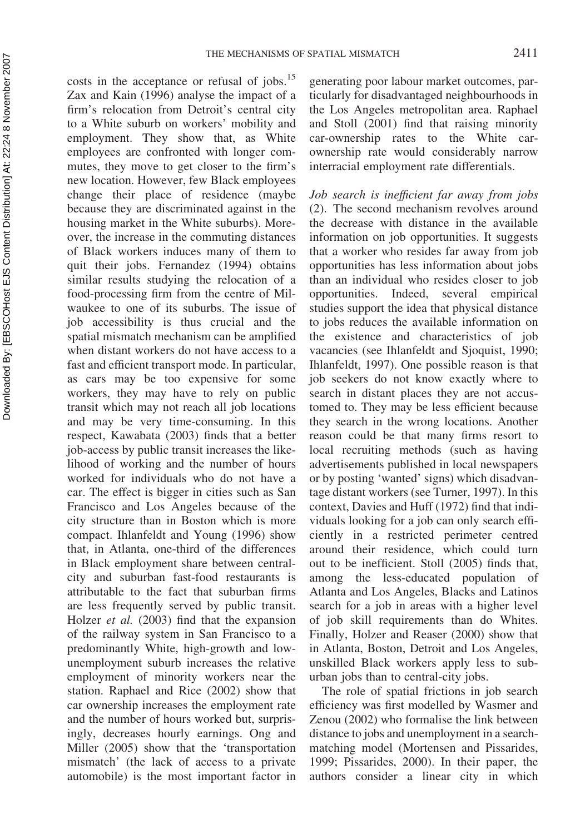costs in the acceptance or refusal of jobs.<sup>15</sup> Zax and Kain (1996) analyse the impact of a firm's relocation from Detroit's central city to a White suburb on workers' mobility and employment. They show that, as White employees are confronted with longer commutes, they move to get closer to the firm's new location. However, few Black employees change their place of residence (maybe because they are discriminated against in the housing market in the White suburbs). Moreover, the increase in the commuting distances of Black workers induces many of them to quit their jobs. Fernandez (1994) obtains similar results studying the relocation of a food-processing firm from the centre of Milwaukee to one of its suburbs. The issue of job accessibility is thus crucial and the spatial mismatch mechanism can be amplified when distant workers do not have access to a fast and efficient transport mode. In particular, as cars may be too expensive for some workers, they may have to rely on public transit which may not reach all job locations and may be very time-consuming. In this respect, Kawabata (2003) finds that a better job-access by public transit increases the likelihood of working and the number of hours worked for individuals who do not have a car. The effect is bigger in cities such as San Francisco and Los Angeles because of the city structure than in Boston which is more compact. Ihlanfeldt and Young (1996) show that, in Atlanta, one-third of the differences in Black employment share between centralcity and suburban fast-food restaurants is attributable to the fact that suburban firms are less frequently served by public transit. Holzer et al. (2003) find that the expansion of the railway system in San Francisco to a predominantly White, high-growth and lowunemployment suburb increases the relative employment of minority workers near the station. Raphael and Rice (2002) show that car ownership increases the employment rate and the number of hours worked but, surprisingly, decreases hourly earnings. Ong and Miller (2005) show that the 'transportation mismatch' (the lack of access to a private automobile) is the most important factor in

generating poor labour market outcomes, particularly for disadvantaged neighbourhoods in the Los Angeles metropolitan area. Raphael and Stoll (2001) find that raising minority car-ownership rates to the White carownership rate would considerably narrow interracial employment rate differentials.

Job search is inefficient far away from jobs (2). The second mechanism revolves around the decrease with distance in the available information on job opportunities. It suggests that a worker who resides far away from job opportunities has less information about jobs than an individual who resides closer to job opportunities. Indeed, several empirical studies support the idea that physical distance to jobs reduces the available information on the existence and characteristics of job vacancies (see Ihlanfeldt and Sjoquist, 1990; Ihlanfeldt, 1997). One possible reason is that job seekers do not know exactly where to search in distant places they are not accustomed to. They may be less efficient because they search in the wrong locations. Another reason could be that many firms resort to local recruiting methods (such as having advertisements published in local newspapers or by posting 'wanted' signs) which disadvantage distant workers (see Turner, 1997). In this context, Davies and Huff (1972) find that individuals looking for a job can only search efficiently in a restricted perimeter centred around their residence, which could turn out to be inefficient. Stoll (2005) finds that, among the less-educated population of Atlanta and Los Angeles, Blacks and Latinos search for a job in areas with a higher level of job skill requirements than do Whites. Finally, Holzer and Reaser (2000) show that in Atlanta, Boston, Detroit and Los Angeles, unskilled Black workers apply less to suburban jobs than to central-city jobs.

The role of spatial frictions in job search efficiency was first modelled by Wasmer and Zenou (2002) who formalise the link between distance to jobs and unemployment in a searchmatching model (Mortensen and Pissarides, 1999; Pissarides, 2000). In their paper, the authors consider a linear city in which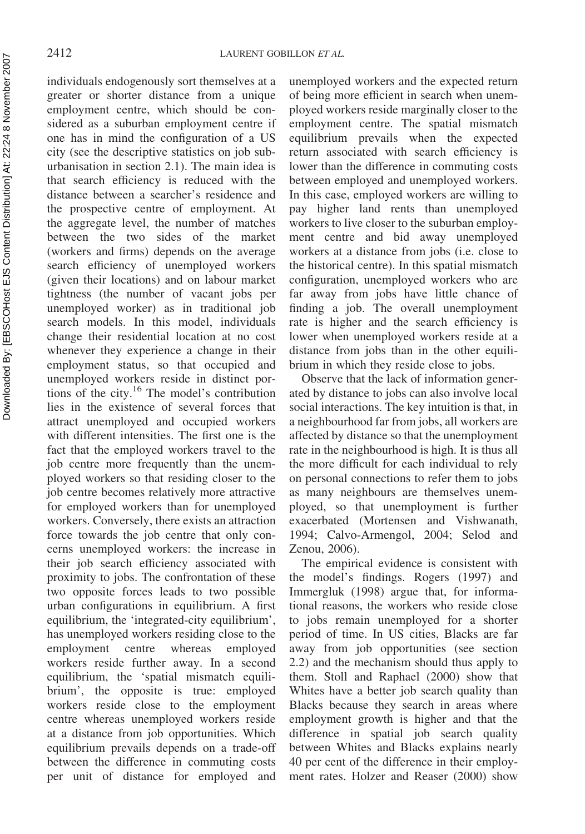individuals endogenously sort themselves at a greater or shorter distance from a unique employment centre, which should be considered as a suburban employment centre if one has in mind the configuration of a US city (see the descriptive statistics on job suburbanisation in section 2.1). The main idea is that search efficiency is reduced with the distance between a searcher's residence and the prospective centre of employment. At the aggregate level, the number of matches between the two sides of the market (workers and firms) depends on the average search efficiency of unemployed workers (given their locations) and on labour market tightness (the number of vacant jobs per unemployed worker) as in traditional job search models. In this model, individuals change their residential location at no cost whenever they experience a change in their employment status, so that occupied and unemployed workers reside in distinct portions of the city.<sup>16</sup> The model's contribution lies in the existence of several forces that attract unemployed and occupied workers with different intensities. The first one is the fact that the employed workers travel to the job centre more frequently than the unemployed workers so that residing closer to the job centre becomes relatively more attractive for employed workers than for unemployed workers. Conversely, there exists an attraction force towards the job centre that only concerns unemployed workers: the increase in their job search efficiency associated with proximity to jobs. The confrontation of these two opposite forces leads to two possible urban configurations in equilibrium. A first equilibrium, the 'integrated-city equilibrium', has unemployed workers residing close to the employment centre whereas employed workers reside further away. In a second equilibrium, the 'spatial mismatch equilibrium', the opposite is true: employed workers reside close to the employment centre whereas unemployed workers reside at a distance from job opportunities. Which equilibrium prevails depends on a trade-off between the difference in commuting costs per unit of distance for employed and

unemployed workers and the expected return of being more efficient in search when unemployed workers reside marginally closer to the employment centre. The spatial mismatch equilibrium prevails when the expected return associated with search efficiency is lower than the difference in commuting costs between employed and unemployed workers. In this case, employed workers are willing to pay higher land rents than unemployed workers to live closer to the suburban employment centre and bid away unemployed workers at a distance from jobs (i.e. close to the historical centre). In this spatial mismatch configuration, unemployed workers who are far away from jobs have little chance of finding a job. The overall unemployment rate is higher and the search efficiency is lower when unemployed workers reside at a distance from jobs than in the other equilibrium in which they reside close to jobs.

Observe that the lack of information generated by distance to jobs can also involve local social interactions. The key intuition is that, in a neighbourhood far from jobs, all workers are affected by distance so that the unemployment rate in the neighbourhood is high. It is thus all the more difficult for each individual to rely on personal connections to refer them to jobs as many neighbours are themselves unemployed, so that unemployment is further exacerbated (Mortensen and Vishwanath, 1994; Calvo-Armengol, 2004; Selod and Zenou, 2006).

The empirical evidence is consistent with the model's findings. Rogers (1997) and Immergluk (1998) argue that, for informational reasons, the workers who reside close to jobs remain unemployed for a shorter period of time. In US cities, Blacks are far away from job opportunities (see section 2.2) and the mechanism should thus apply to them. Stoll and Raphael (2000) show that Whites have a better job search quality than Blacks because they search in areas where employment growth is higher and that the difference in spatial job search quality between Whites and Blacks explains nearly 40 per cent of the difference in their employment rates. Holzer and Reaser (2000) show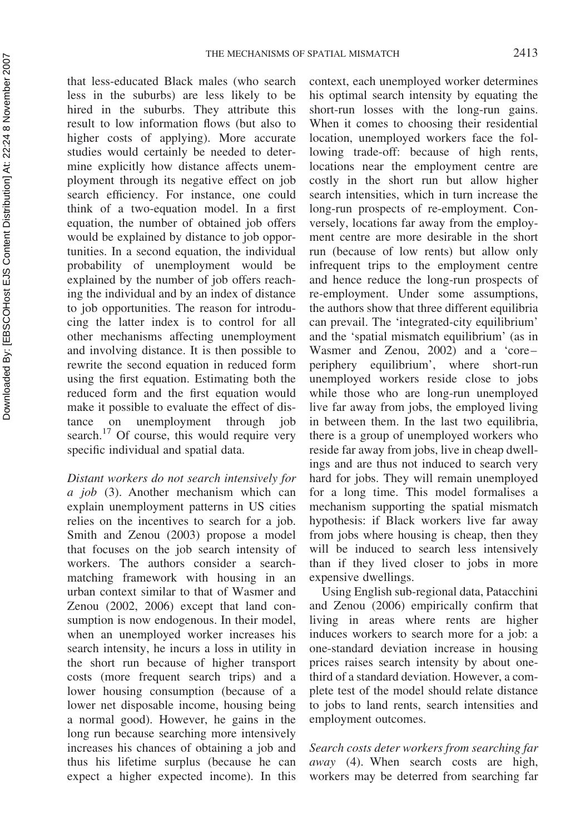that less-educated Black males (who search less in the suburbs) are less likely to be hired in the suburbs. They attribute this result to low information flows (but also to higher costs of applying). More accurate studies would certainly be needed to determine explicitly how distance affects unemployment through its negative effect on job search efficiency. For instance, one could think of a two-equation model. In a first equation, the number of obtained job offers would be explained by distance to job opportunities. In a second equation, the individual probability of unemployment would be explained by the number of job offers reaching the individual and by an index of distance to job opportunities. The reason for introducing the latter index is to control for all other mechanisms affecting unemployment and involving distance. It is then possible to rewrite the second equation in reduced form using the first equation. Estimating both the reduced form and the first equation would make it possible to evaluate the effect of distance on unemployment through job search.<sup>17</sup> Of course, this would require very specific individual and spatial data.

Distant workers do not search intensively for a job (3). Another mechanism which can explain unemployment patterns in US cities relies on the incentives to search for a job. Smith and Zenou (2003) propose a model that focuses on the job search intensity of workers. The authors consider a searchmatching framework with housing in an urban context similar to that of Wasmer and Zenou (2002, 2006) except that land consumption is now endogenous. In their model, when an unemployed worker increases his search intensity, he incurs a loss in utility in the short run because of higher transport costs (more frequent search trips) and a lower housing consumption (because of a lower net disposable income, housing being a normal good). However, he gains in the long run because searching more intensively increases his chances of obtaining a job and thus his lifetime surplus (because he can expect a higher expected income). In this context, each unemployed worker determines his optimal search intensity by equating the short-run losses with the long-run gains. When it comes to choosing their residential location, unemployed workers face the following trade-off: because of high rents, locations near the employment centre are costly in the short run but allow higher search intensities, which in turn increase the long-run prospects of re-employment. Conversely, locations far away from the employment centre are more desirable in the short run (because of low rents) but allow only infrequent trips to the employment centre and hence reduce the long-run prospects of re-employment. Under some assumptions, the authors show that three different equilibria can prevail. The 'integrated-city equilibrium' and the 'spatial mismatch equilibrium' (as in Wasmer and Zenou, 2002) and a 'core– periphery equilibrium', where short-run unemployed workers reside close to jobs while those who are long-run unemployed live far away from jobs, the employed living in between them. In the last two equilibria, there is a group of unemployed workers who reside far away from jobs, live in cheap dwellings and are thus not induced to search very hard for jobs. They will remain unemployed for a long time. This model formalises a mechanism supporting the spatial mismatch hypothesis: if Black workers live far away from jobs where housing is cheap, then they will be induced to search less intensively than if they lived closer to jobs in more expensive dwellings.

Using English sub-regional data, Patacchini and Zenou (2006) empirically confirm that living in areas where rents are higher induces workers to search more for a job: a one-standard deviation increase in housing prices raises search intensity by about onethird of a standard deviation. However, a complete test of the model should relate distance to jobs to land rents, search intensities and employment outcomes.

Search costs deter workers from searching far away (4). When search costs are high, workers may be deterred from searching far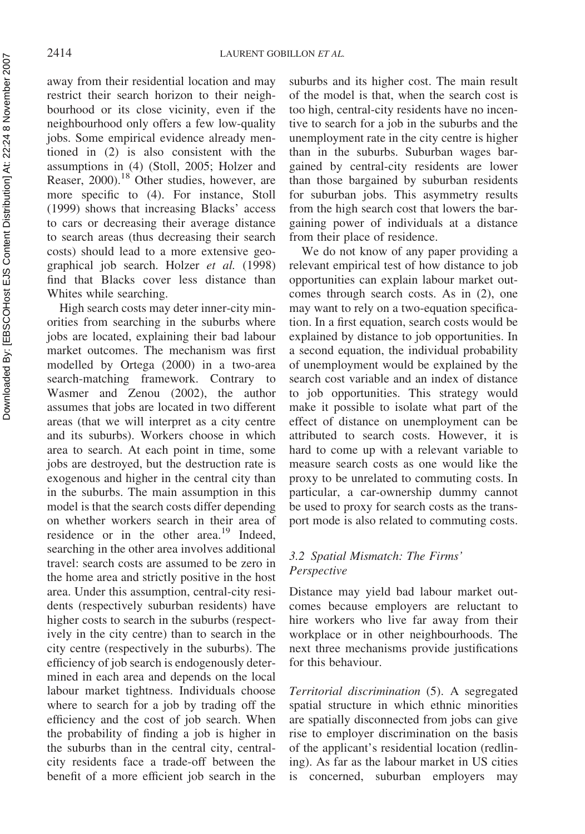away from their residential location and may restrict their search horizon to their neighbourhood or its close vicinity, even if the neighbourhood only offers a few low-quality jobs. Some empirical evidence already mentioned in (2) is also consistent with the assumptions in (4) (Stoll, 2005; Holzer and Reaser, 2000).<sup>18</sup> Other studies, however, are more specific to (4). For instance, Stoll (1999) shows that increasing Blacks' access to cars or decreasing their average distance to search areas (thus decreasing their search costs) should lead to a more extensive geographical job search. Holzer et al. (1998) find that Blacks cover less distance than Whites while searching.

High search costs may deter inner-city minorities from searching in the suburbs where jobs are located, explaining their bad labour market outcomes. The mechanism was first modelled by Ortega (2000) in a two-area search-matching framework. Contrary to Wasmer and Zenou (2002), the author assumes that jobs are located in two different areas (that we will interpret as a city centre and its suburbs). Workers choose in which area to search. At each point in time, some jobs are destroyed, but the destruction rate is exogenous and higher in the central city than in the suburbs. The main assumption in this model is that the search costs differ depending on whether workers search in their area of residence or in the other area. $19$  Indeed. searching in the other area involves additional travel: search costs are assumed to be zero in the home area and strictly positive in the host area. Under this assumption, central-city residents (respectively suburban residents) have higher costs to search in the suburbs (respectively in the city centre) than to search in the city centre (respectively in the suburbs). The efficiency of job search is endogenously determined in each area and depends on the local labour market tightness. Individuals choose where to search for a job by trading off the efficiency and the cost of job search. When the probability of finding a job is higher in the suburbs than in the central city, centralcity residents face a trade-off between the benefit of a more efficient job search in the suburbs and its higher cost. The main result of the model is that, when the search cost is too high, central-city residents have no incentive to search for a job in the suburbs and the unemployment rate in the city centre is higher than in the suburbs. Suburban wages bargained by central-city residents are lower than those bargained by suburban residents for suburban jobs. This asymmetry results from the high search cost that lowers the bargaining power of individuals at a distance from their place of residence.

We do not know of any paper providing a relevant empirical test of how distance to job opportunities can explain labour market outcomes through search costs. As in (2), one may want to rely on a two-equation specification. In a first equation, search costs would be explained by distance to job opportunities. In a second equation, the individual probability of unemployment would be explained by the search cost variable and an index of distance to job opportunities. This strategy would make it possible to isolate what part of the effect of distance on unemployment can be attributed to search costs. However, it is hard to come up with a relevant variable to measure search costs as one would like the proxy to be unrelated to commuting costs. In particular, a car-ownership dummy cannot be used to proxy for search costs as the transport mode is also related to commuting costs.

# 3.2 Spatial Mismatch: The Firms' Perspective

Distance may yield bad labour market outcomes because employers are reluctant to hire workers who live far away from their workplace or in other neighbourhoods. The next three mechanisms provide justifications for this behaviour.

Territorial discrimination (5). A segregated spatial structure in which ethnic minorities are spatially disconnected from jobs can give rise to employer discrimination on the basis of the applicant's residential location (redlining). As far as the labour market in US cities is concerned, suburban employers may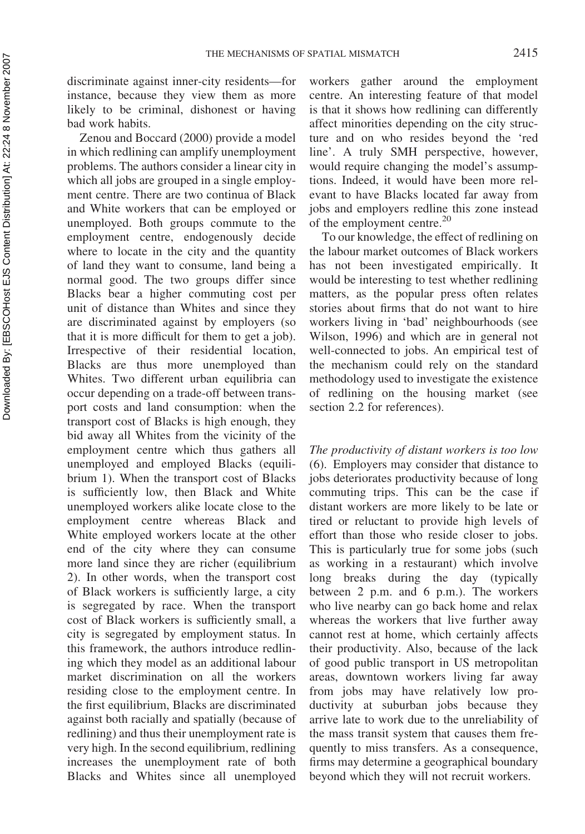discriminate against inner-city residents—for instance, because they view them as more likely to be criminal, dishonest or having bad work habits.

Zenou and Boccard (2000) provide a model in which redlining can amplify unemployment problems. The authors consider a linear city in which all jobs are grouped in a single employment centre. There are two continua of Black and White workers that can be employed or unemployed. Both groups commute to the employment centre, endogenously decide where to locate in the city and the quantity of land they want to consume, land being a normal good. The two groups differ since Blacks bear a higher commuting cost per unit of distance than Whites and since they are discriminated against by employers (so that it is more difficult for them to get a job). Irrespective of their residential location, Blacks are thus more unemployed than Whites. Two different urban equilibria can occur depending on a trade-off between transport costs and land consumption: when the transport cost of Blacks is high enough, they bid away all Whites from the vicinity of the employment centre which thus gathers all unemployed and employed Blacks (equilibrium 1). When the transport cost of Blacks is sufficiently low, then Black and White unemployed workers alike locate close to the employment centre whereas Black and White employed workers locate at the other end of the city where they can consume more land since they are richer (equilibrium 2). In other words, when the transport cost of Black workers is sufficiently large, a city is segregated by race. When the transport cost of Black workers is sufficiently small, a city is segregated by employment status. In this framework, the authors introduce redlining which they model as an additional labour market discrimination on all the workers residing close to the employment centre. In the first equilibrium, Blacks are discriminated against both racially and spatially (because of redlining) and thus their unemployment rate is very high. In the second equilibrium, redlining increases the unemployment rate of both Blacks and Whites since all unemployed

workers gather around the employment centre. An interesting feature of that model is that it shows how redlining can differently affect minorities depending on the city structure and on who resides beyond the 'red line'. A truly SMH perspective, however, would require changing the model's assumptions. Indeed, it would have been more relevant to have Blacks located far away from jobs and employers redline this zone instead of the employment centre.20

To our knowledge, the effect of redlining on the labour market outcomes of Black workers has not been investigated empirically. It would be interesting to test whether redlining matters, as the popular press often relates stories about firms that do not want to hire workers living in 'bad' neighbourhoods (see Wilson, 1996) and which are in general not well-connected to jobs. An empirical test of the mechanism could rely on the standard methodology used to investigate the existence of redlining on the housing market (see section 2.2 for references).

The productivity of distant workers is too low (6). Employers may consider that distance to jobs deteriorates productivity because of long commuting trips. This can be the case if distant workers are more likely to be late or tired or reluctant to provide high levels of effort than those who reside closer to jobs. This is particularly true for some jobs (such as working in a restaurant) which involve long breaks during the day (typically between 2 p.m. and 6 p.m.). The workers who live nearby can go back home and relax whereas the workers that live further away cannot rest at home, which certainly affects their productivity. Also, because of the lack of good public transport in US metropolitan areas, downtown workers living far away from jobs may have relatively low productivity at suburban jobs because they arrive late to work due to the unreliability of the mass transit system that causes them frequently to miss transfers. As a consequence, firms may determine a geographical boundary beyond which they will not recruit workers.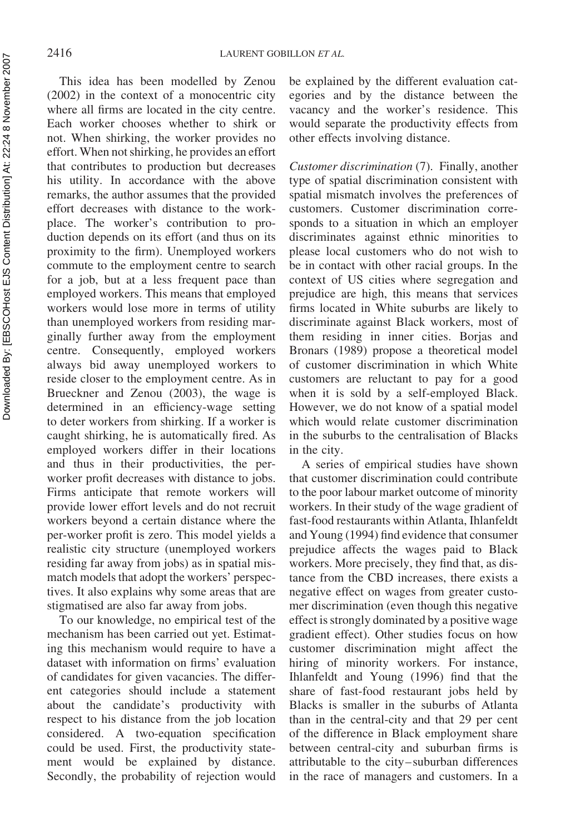This idea has been modelled by Zenou (2002) in the context of a monocentric city where all firms are located in the city centre. Each worker chooses whether to shirk or not. When shirking, the worker provides no effort. When not shirking, he provides an effort that contributes to production but decreases his utility. In accordance with the above remarks, the author assumes that the provided effort decreases with distance to the workplace. The worker's contribution to production depends on its effort (and thus on its proximity to the firm). Unemployed workers commute to the employment centre to search for a job, but at a less frequent pace than employed workers. This means that employed workers would lose more in terms of utility than unemployed workers from residing marginally further away from the employment centre. Consequently, employed workers always bid away unemployed workers to reside closer to the employment centre. As in Brueckner and Zenou (2003), the wage is determined in an efficiency-wage setting to deter workers from shirking. If a worker is caught shirking, he is automatically fired. As employed workers differ in their locations and thus in their productivities, the perworker profit decreases with distance to jobs. Firms anticipate that remote workers will provide lower effort levels and do not recruit workers beyond a certain distance where the per-worker profit is zero. This model yields a realistic city structure (unemployed workers residing far away from jobs) as in spatial mismatch models that adopt the workers' perspectives. It also explains why some areas that are stigmatised are also far away from jobs.

To our knowledge, no empirical test of the mechanism has been carried out yet. Estimating this mechanism would require to have a dataset with information on firms' evaluation of candidates for given vacancies. The different categories should include a statement about the candidate's productivity with respect to his distance from the job location considered. A two-equation specification could be used. First, the productivity statement would be explained by distance. Secondly, the probability of rejection would be explained by the different evaluation categories and by the distance between the vacancy and the worker's residence. This would separate the productivity effects from other effects involving distance.

Customer discrimination (7). Finally, another type of spatial discrimination consistent with spatial mismatch involves the preferences of customers. Customer discrimination corresponds to a situation in which an employer discriminates against ethnic minorities to please local customers who do not wish to be in contact with other racial groups. In the context of US cities where segregation and prejudice are high, this means that services firms located in White suburbs are likely to discriminate against Black workers, most of them residing in inner cities. Borjas and Bronars (1989) propose a theoretical model of customer discrimination in which White customers are reluctant to pay for a good when it is sold by a self-employed Black. However, we do not know of a spatial model which would relate customer discrimination in the suburbs to the centralisation of Blacks in the city.

A series of empirical studies have shown that customer discrimination could contribute to the poor labour market outcome of minority workers. In their study of the wage gradient of fast-food restaurants within Atlanta, Ihlanfeldt and Young (1994) find evidence that consumer prejudice affects the wages paid to Black workers. More precisely, they find that, as distance from the CBD increases, there exists a negative effect on wages from greater customer discrimination (even though this negative effect is strongly dominated by a positive wage gradient effect). Other studies focus on how customer discrimination might affect the hiring of minority workers. For instance, Ihlanfeldt and Young (1996) find that the share of fast-food restaurant jobs held by Blacks is smaller in the suburbs of Atlanta than in the central-city and that 29 per cent of the difference in Black employment share between central-city and suburban firms is attributable to the city–suburban differences in the race of managers and customers. In a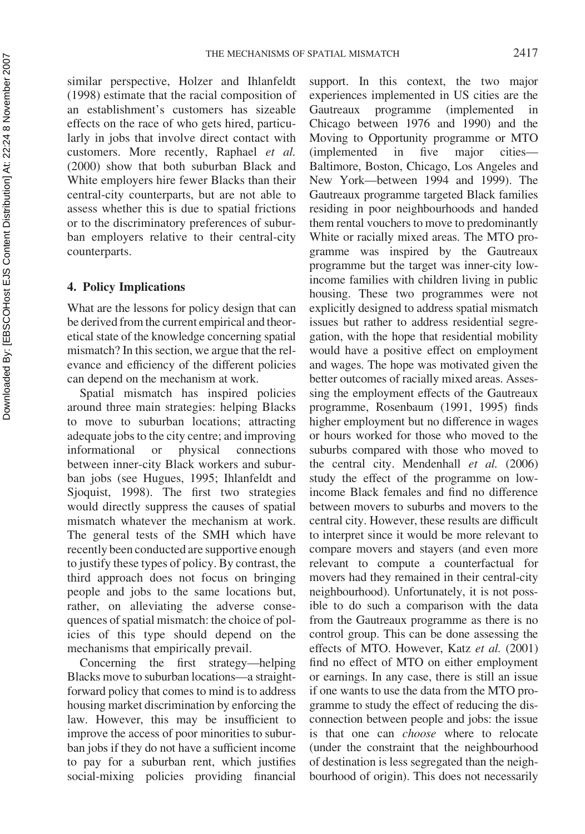similar perspective, Holzer and Ihlanfeldt (1998) estimate that the racial composition of an establishment's customers has sizeable effects on the race of who gets hired, particularly in jobs that involve direct contact with customers. More recently, Raphael et al. (2000) show that both suburban Black and White employers hire fewer Blacks than their central-city counterparts, but are not able to assess whether this is due to spatial frictions or to the discriminatory preferences of suburban employers relative to their central-city counterparts.

#### 4. Policy Implications

What are the lessons for policy design that can be derived from the current empirical and theoretical state of the knowledge concerning spatial mismatch? In this section, we argue that the relevance and efficiency of the different policies can depend on the mechanism at work.

Spatial mismatch has inspired policies around three main strategies: helping Blacks to move to suburban locations; attracting adequate jobs to the city centre; and improving informational or physical connections between inner-city Black workers and suburban jobs (see Hugues, 1995; Ihlanfeldt and Sjoquist, 1998). The first two strategies would directly suppress the causes of spatial mismatch whatever the mechanism at work. The general tests of the SMH which have recently been conducted are supportive enough to justify these types of policy. By contrast, the third approach does not focus on bringing people and jobs to the same locations but, rather, on alleviating the adverse consequences of spatial mismatch: the choice of policies of this type should depend on the mechanisms that empirically prevail.

Concerning the first strategy—helping Blacks move to suburban locations—a straightforward policy that comes to mind is to address housing market discrimination by enforcing the law. However, this may be insufficient to improve the access of poor minorities to suburban jobs if they do not have a sufficient income to pay for a suburban rent, which justifies social-mixing policies providing financial

support. In this context, the two major experiences implemented in US cities are the Gautreaux programme (implemented in Chicago between 1976 and 1990) and the Moving to Opportunity programme or MTO (implemented in five major cities— Baltimore, Boston, Chicago, Los Angeles and New York—between 1994 and 1999). The Gautreaux programme targeted Black families residing in poor neighbourhoods and handed them rental vouchers to move to predominantly White or racially mixed areas. The MTO programme was inspired by the Gautreaux programme but the target was inner-city lowincome families with children living in public housing. These two programmes were not explicitly designed to address spatial mismatch issues but rather to address residential segregation, with the hope that residential mobility would have a positive effect on employment and wages. The hope was motivated given the better outcomes of racially mixed areas. Assessing the employment effects of the Gautreaux programme, Rosenbaum (1991, 1995) finds higher employment but no difference in wages or hours worked for those who moved to the suburbs compared with those who moved to the central city. Mendenhall et al. (2006) study the effect of the programme on lowincome Black females and find no difference between movers to suburbs and movers to the central city. However, these results are difficult to interpret since it would be more relevant to compare movers and stayers (and even more relevant to compute a counterfactual for movers had they remained in their central-city neighbourhood). Unfortunately, it is not possible to do such a comparison with the data from the Gautreaux programme as there is no control group. This can be done assessing the effects of MTO. However, Katz et al. (2001) find no effect of MTO on either employment or earnings. In any case, there is still an issue if one wants to use the data from the MTO programme to study the effect of reducing the disconnection between people and jobs: the issue is that one can choose where to relocate (under the constraint that the neighbourhood of destination is less segregated than the neighbourhood of origin). This does not necessarily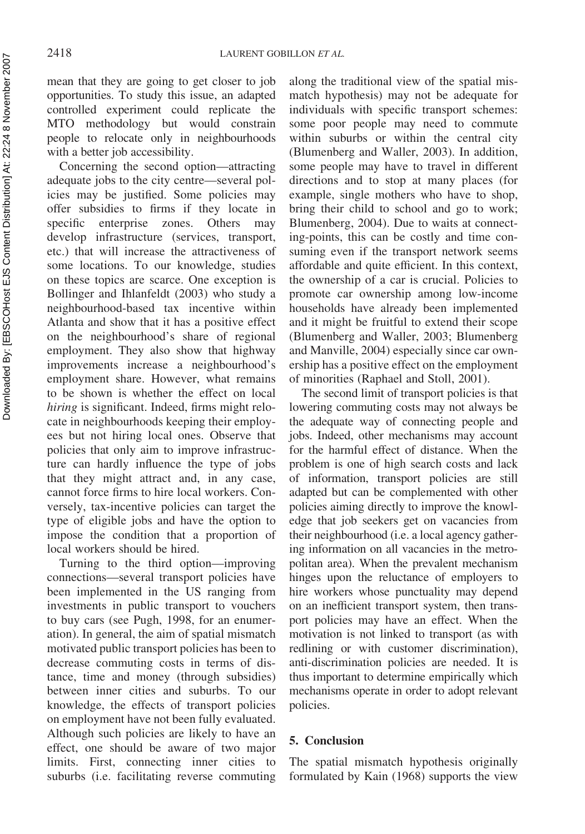mean that they are going to get closer to job opportunities. To study this issue, an adapted controlled experiment could replicate the MTO methodology but would constrain people to relocate only in neighbourhoods with a better job accessibility.

Concerning the second option—attracting adequate jobs to the city centre—several policies may be justified. Some policies may offer subsidies to firms if they locate in specific enterprise zones. Others may develop infrastructure (services, transport, etc.) that will increase the attractiveness of some locations. To our knowledge, studies on these topics are scarce. One exception is Bollinger and Ihlanfeldt (2003) who study a neighbourhood-based tax incentive within Atlanta and show that it has a positive effect on the neighbourhood's share of regional employment. They also show that highway improvements increase a neighbourhood's employment share. However, what remains to be shown is whether the effect on local hiring is significant. Indeed, firms might relocate in neighbourhoods keeping their employees but not hiring local ones. Observe that policies that only aim to improve infrastructure can hardly influence the type of jobs that they might attract and, in any case, cannot force firms to hire local workers. Conversely, tax-incentive policies can target the type of eligible jobs and have the option to impose the condition that a proportion of local workers should be hired.

Turning to the third option—improving connections—several transport policies have been implemented in the US ranging from investments in public transport to vouchers to buy cars (see Pugh, 1998, for an enumeration). In general, the aim of spatial mismatch motivated public transport policies has been to decrease commuting costs in terms of distance, time and money (through subsidies) between inner cities and suburbs. To our knowledge, the effects of transport policies on employment have not been fully evaluated. Although such policies are likely to have an effect, one should be aware of two major limits. First, connecting inner cities suburbs (i.e. facilitating reverse commuting

along the traditional view of the spatial mismatch hypothesis) may not be adequate for individuals with specific transport schemes: some poor people may need to commute within suburbs or within the central city (Blumenberg and Waller, 2003). In addition, some people may have to travel in different directions and to stop at many places (for example, single mothers who have to shop, bring their child to school and go to work; Blumenberg, 2004). Due to waits at connecting-points, this can be costly and time consuming even if the transport network seems affordable and quite efficient. In this context, the ownership of a car is crucial. Policies to promote car ownership among low-income households have already been implemented and it might be fruitful to extend their scope (Blumenberg and Waller, 2003; Blumenberg and Manville, 2004) especially since car ownership has a positive effect on the employment of minorities (Raphael and Stoll, 2001).

The second limit of transport policies is that lowering commuting costs may not always be the adequate way of connecting people and jobs. Indeed, other mechanisms may account for the harmful effect of distance. When the problem is one of high search costs and lack of information, transport policies are still adapted but can be complemented with other policies aiming directly to improve the knowledge that job seekers get on vacancies from their neighbourhood (i.e. a local agency gathering information on all vacancies in the metropolitan area). When the prevalent mechanism hinges upon the reluctance of employers to hire workers whose punctuality may depend on an inefficient transport system, then transport policies may have an effect. When the motivation is not linked to transport (as with redlining or with customer discrimination), anti-discrimination policies are needed. It is thus important to determine empirically which mechanisms operate in order to adopt relevant policies.

# 5. Conclusion

The spatial mismatch hypothesis originally formulated by Kain (1968) supports the view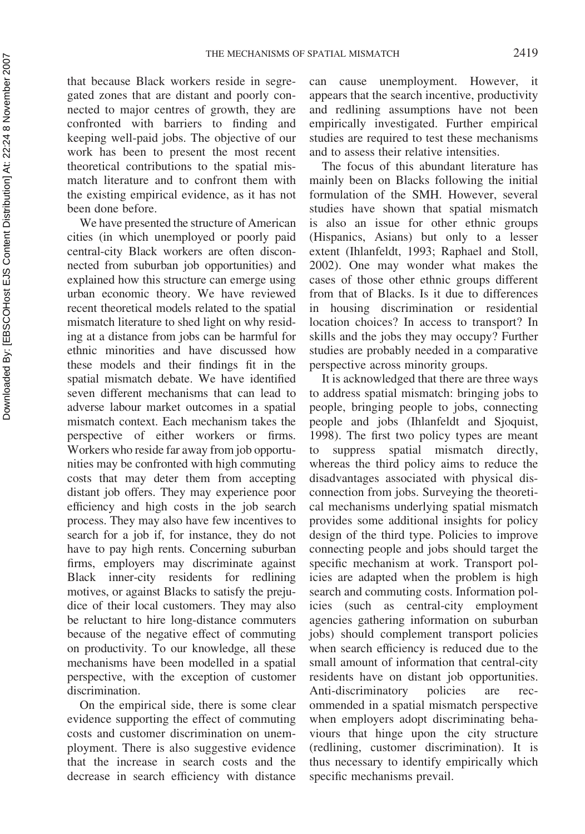that because Black workers reside in segregated zones that are distant and poorly connected to major centres of growth, they are confronted with barriers to finding and keeping well-paid jobs. The objective of our work has been to present the most recent theoretical contributions to the spatial mismatch literature and to confront them with the existing empirical evidence, as it has not been done before.

We have presented the structure of American cities (in which unemployed or poorly paid central-city Black workers are often disconnected from suburban job opportunities) and explained how this structure can emerge using urban economic theory. We have reviewed recent theoretical models related to the spatial mismatch literature to shed light on why residing at a distance from jobs can be harmful for ethnic minorities and have discussed how these models and their findings fit in the spatial mismatch debate. We have identified seven different mechanisms that can lead to adverse labour market outcomes in a spatial mismatch context. Each mechanism takes the perspective of either workers or firms. Workers who reside far away from job opportunities may be confronted with high commuting costs that may deter them from accepting distant job offers. They may experience poor efficiency and high costs in the job search process. They may also have few incentives to search for a job if, for instance, they do not have to pay high rents. Concerning suburban firms, employers may discriminate against Black inner-city residents for redlining motives, or against Blacks to satisfy the prejudice of their local customers. They may also be reluctant to hire long-distance commuters because of the negative effect of commuting on productivity. To our knowledge, all these mechanisms have been modelled in a spatial perspective, with the exception of customer discrimination.

On the empirical side, there is some clear evidence supporting the effect of commuting costs and customer discrimination on unemployment. There is also suggestive evidence that the increase in search costs and the decrease in search efficiency with distance can cause unemployment. However, it appears that the search incentive, productivity and redlining assumptions have not been empirically investigated. Further empirical studies are required to test these mechanisms and to assess their relative intensities.

The focus of this abundant literature has mainly been on Blacks following the initial formulation of the SMH. However, several studies have shown that spatial mismatch is also an issue for other ethnic groups (Hispanics, Asians) but only to a lesser extent (Ihlanfeldt, 1993; Raphael and Stoll, 2002). One may wonder what makes the cases of those other ethnic groups different from that of Blacks. Is it due to differences in housing discrimination or residential location choices? In access to transport? In skills and the jobs they may occupy? Further studies are probably needed in a comparative perspective across minority groups.

It is acknowledged that there are three ways to address spatial mismatch: bringing jobs to people, bringing people to jobs, connecting people and jobs (Ihlanfeldt and Sjoquist, 1998). The first two policy types are meant to suppress spatial mismatch directly, whereas the third policy aims to reduce the disadvantages associated with physical disconnection from jobs. Surveying the theoretical mechanisms underlying spatial mismatch provides some additional insights for policy design of the third type. Policies to improve connecting people and jobs should target the specific mechanism at work. Transport policies are adapted when the problem is high search and commuting costs. Information policies (such as central-city employment agencies gathering information on suburban jobs) should complement transport policies when search efficiency is reduced due to the small amount of information that central-city residents have on distant job opportunities. Anti-discriminatory policies are recommended in a spatial mismatch perspective when employers adopt discriminating behaviours that hinge upon the city structure (redlining, customer discrimination). It is thus necessary to identify empirically which specific mechanisms prevail.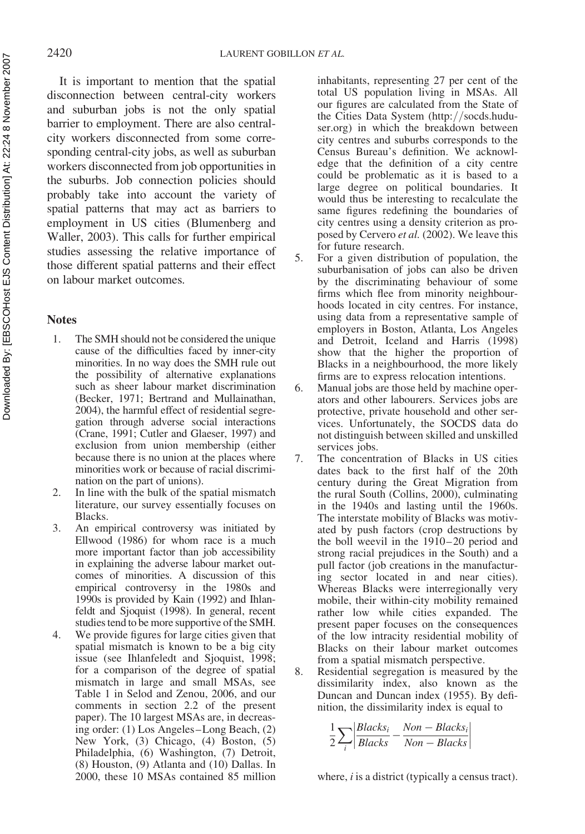It is important to mention that the spatial disconnection between central-city workers and suburban jobs is not the only spatial barrier to employment. There are also centralcity workers disconnected from some corresponding central-city jobs, as well as suburban workers disconnected from job opportunities in the suburbs. Job connection policies should probably take into account the variety of spatial patterns that may act as barriers to employment in US cities (Blumenberg and Waller, 2003). This calls for further empirical studies assessing the relative importance of those different spatial patterns and their effect on labour market outcomes.

# **Notes**

Downloaded By: [EBSCOHost EJS Content Distribution] At: 22:24 8 November 2007

Downloaded By: [EBSCOHost EJS Content Distribution] At: 22:24 8 November 2007

- 1. The SMH should not be considered the unique cause of the difficulties faced by inner-city minorities. In no way does the SMH rule out the possibility of alternative explanations such as sheer labour market discrimination (Becker, 1971; Bertrand and Mullainathan, 2004), the harmful effect of residential segregation through adverse social interactions (Crane, 1991; Cutler and Glaeser, 1997) and exclusion from union membership (either because there is no union at the places where minorities work or because of racial discrimination on the part of unions).
- 2. In line with the bulk of the spatial mismatch literature, our survey essentially focuses on Blacks.
- 3. An empirical controversy was initiated by Ellwood (1986) for whom race is a much more important factor than job accessibility in explaining the adverse labour market outcomes of minorities. A discussion of this empirical controversy in the 1980s and 1990s is provided by Kain (1992) and Ihlanfeldt and Sjoquist (1998). In general, recent studies tend to be more supportive of the SMH.
- 4. We provide figures for large cities given that spatial mismatch is known to be a big city issue (see Ihlanfeledt and Sjoquist, 1998; for a comparison of the degree of spatial mismatch in large and small MSAs, see Table 1 in Selod and Zenou, 2006, and our comments in section 2.2 of the present paper). The 10 largest MSAs are, in decreasing order: (1) Los Angeles–Long Beach, (2) New York, (3) Chicago, (4) Boston, (5) Philadelphia, (6) Washington, (7) Detroit, (8) Houston, (9) Atlanta and (10) Dallas. In 2000, these 10 MSAs contained 85 million

inhabitants, representing 27 per cent of the total US population living in MSAs. All our figures are calculated from the State of the Cities Data System (http://socds.huduser.org) in which the breakdown between city centres and suburbs corresponds to the Census Bureau's definition. We acknowledge that the definition of a city centre could be problematic as it is based to a large degree on political boundaries. It would thus be interesting to recalculate the same figures redefining the boundaries of city centres using a density criterion as proposed by Cervero et al. (2002). We leave this for future research.

- 5. For a given distribution of population, the suburbanisation of jobs can also be driven by the discriminating behaviour of some firms which flee from minority neighbourhoods located in city centres. For instance, using data from a representative sample of employers in Boston, Atlanta, Los Angeles and Detroit, Iceland and Harris (1998) show that the higher the proportion of Blacks in a neighbourhood, the more likely firms are to express relocation intentions.
- 6. Manual jobs are those held by machine operators and other labourers. Services jobs are protective, private household and other services. Unfortunately, the SOCDS data do not distinguish between skilled and unskilled services jobs.
- 7. The concentration of Blacks in US cities dates back to the first half of the 20th century during the Great Migration from the rural South (Collins, 2000), culminating in the 1940s and lasting until the 1960s. The interstate mobility of Blacks was motivated by push factors (crop destructions by the boll weevil in the 1910–20 period and strong racial prejudices in the South) and a pull factor (job creations in the manufacturing sector located in and near cities). Whereas Blacks were interregionally very mobile, their within-city mobility remained rather low while cities expanded. The present paper focuses on the consequences of the low intracity residential mobility of Blacks on their labour market outcomes from a spatial mismatch perspective.
- 8. Residential segregation is measured by the dissimilarity index, also known as the Duncan and Duncan index (1955). By definition, the dissimilarity index is equal to

$$
\frac{1}{2} \sum_{i} \left| \frac{Blacks_i}{Blacks} - \frac{Non-Blacks_i}{Non-Blacks} \right|
$$

where,  $i$  is a district (typically a census tract).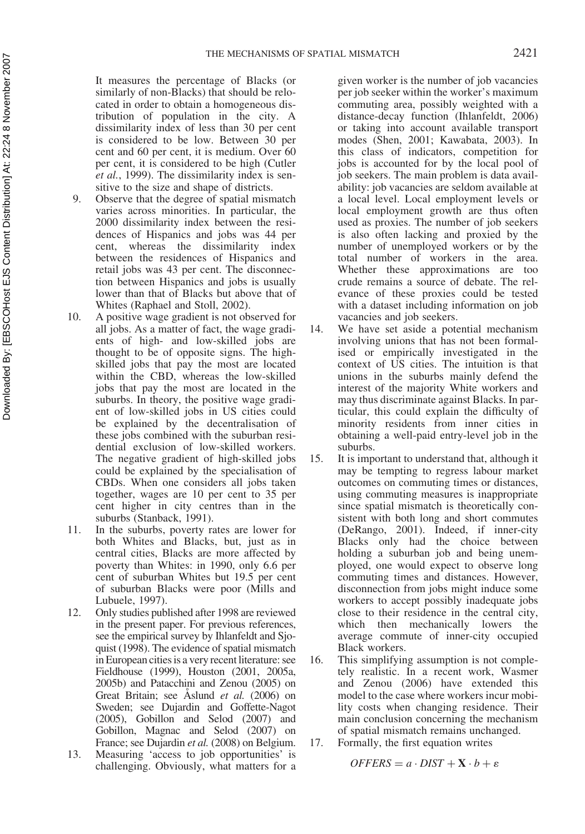It measures the percentage of Blacks (or similarly of non-Blacks) that should be relocated in order to obtain a homogeneous distribution of population in the city. A dissimilarity index of less than 30 per cent is considered to be low. Between 30 per cent and 60 per cent, it is medium. Over 60 per cent, it is considered to be high (Cutler et al., 1999). The dissimilarity index is sensitive to the size and shape of districts.

- 9. Observe that the degree of spatial mismatch varies across minorities. In particular, the 2000 dissimilarity index between the residences of Hispanics and jobs was 44 per cent, whereas the dissimilarity index between the residences of Hispanics and retail jobs was 43 per cent. The disconnection between Hispanics and jobs is usually lower than that of Blacks but above that of Whites (Raphael and Stoll, 2002).
- 10. A positive wage gradient is not observed for all jobs. As a matter of fact, the wage gradients of high- and low-skilled jobs are thought to be of opposite signs. The highskilled jobs that pay the most are located within the CBD, whereas the low-skilled jobs that pay the most are located in the suburbs. In theory, the positive wage gradient of low-skilled jobs in US cities could be explained by the decentralisation of these jobs combined with the suburban residential exclusion of low-skilled workers. The negative gradient of high-skilled jobs could be explained by the specialisation of CBDs. When one considers all jobs taken together, wages are 10 per cent to 35 per cent higher in city centres than in the suburbs (Stanback, 1991).
- 11. In the suburbs, poverty rates are lower for both Whites and Blacks, but, just as in central cities, Blacks are more affected by poverty than Whites: in 1990, only 6.6 per cent of suburban Whites but 19.5 per cent of suburban Blacks were poor (Mills and Lubuele, 1997).
- 12. Only studies published after 1998 are reviewed in the present paper. For previous references, see the empirical survey by Ihlanfeldt and Sjoquist (1998). The evidence of spatial mismatch in European cities is a very recent literature: see Fieldhouse (1999), Houston (2001, 2005a, 2005b) and Patacchini and Zenou (2005) on Great Britain; see Aslund *et al.* (2006) on Sweden; see Dujardin and Goffette-Nagot (2005), Gobillon and Selod (2007) and Gobillon, Magnac and Selod (2007) on France; see Dujardin et al. (2008) on Belgium.
- 13. Measuring 'access to job opportunities' is challenging. Obviously, what matters for a

given worker is the number of job vacancies per job seeker within the worker's maximum commuting area, possibly weighted with a distance-decay function (Ihlanfeldt, 2006) or taking into account available transport modes (Shen, 2001; Kawabata, 2003). In this class of indicators, competition for jobs is accounted for by the local pool of job seekers. The main problem is data availability: job vacancies are seldom available at a local level. Local employment levels or local employment growth are thus often used as proxies. The number of job seekers is also often lacking and proxied by the number of unemployed workers or by the total number of workers in the area. Whether these approximations are too crude remains a source of debate. The relevance of these proxies could be tested with a dataset including information on job vacancies and job seekers.

- 14. We have set aside a potential mechanism involving unions that has not been formalised or empirically investigated in the context of US cities. The intuition is that unions in the suburbs mainly defend the interest of the majority White workers and may thus discriminate against Blacks. In particular, this could explain the difficulty of minority residents from inner cities in obtaining a well-paid entry-level job in the suburbs.
- 15. It is important to understand that, although it may be tempting to regress labour market outcomes on commuting times or distances, using commuting measures is inappropriate since spatial mismatch is theoretically consistent with both long and short commutes (DeRango, 2001). Indeed, if inner-city Blacks only had the choice between holding a suburban job and being unemployed, one would expect to observe long commuting times and distances. However, disconnection from jobs might induce some workers to accept possibly inadequate jobs close to their residence in the central city, which then mechanically lowers the average commute of inner-city occupied Black workers.
- 16. This simplifying assumption is not completely realistic. In a recent work, Wasmer and Zenou (2006) have extended this model to the case where workers incur mobility costs when changing residence. Their main conclusion concerning the mechanism of spatial mismatch remains unchanged. 17. Formally, the first equation writes
	-

$$
OFFERS = a \cdot DIST + \mathbf{X} \cdot b + \varepsilon
$$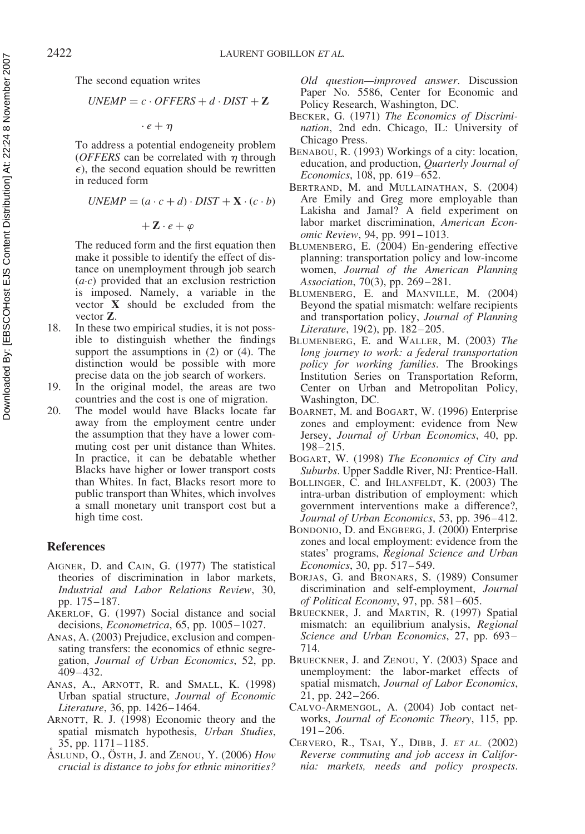The second equation writes

$$
UNEMP = c \cdot OFFERS + d \cdot DIST + \mathbf{Z}
$$

 $\cdot e + \eta$ 

To address a potential endogeneity problem (*OFFERS* can be correlated with  $\eta$  through  $\epsilon$ ), the second equation should be rewritten in reduced form

$$
UNEMP = (a \cdot c + d) \cdot DIST + \mathbf{X} \cdot (c \cdot b)
$$

 $+ \mathbf{Z} \cdot e + \varphi$ 

The reduced form and the first equation then make it possible to identify the effect of distance on unemployment through job search  $(a \cdot c)$  provided that an exclusion restriction is imposed. Namely, a variable in the vector X should be excluded from the vector Z.

- 18. In these two empirical studies, it is not possible to distinguish whether the findings support the assumptions in (2) or (4). The distinction would be possible with more precise data on the job search of workers.
- 19. In the original model, the areas are two countries and the cost is one of migration.
- 20. The model would have Blacks locate far away from the employment centre under the assumption that they have a lower commuting cost per unit distance than Whites. In practice, it can be debatable whether Blacks have higher or lower transport costs than Whites. In fact, Blacks resort more to public transport than Whites, which involves a small monetary unit transport cost but a high time cost.

#### References

- AIGNER, D. and CAIN, G. (1977) The statistical theories of discrimination in labor markets, Industrial and Labor Relations Review, 30, pp. 175–187.
- AKERLOF, G. (1997) Social distance and social decisions, Econometrica, 65, pp. 1005–1027.
- ANAS, A. (2003) Prejudice, exclusion and compensating transfers: the economics of ethnic segregation, Journal of Urban Economics, 52, pp. 409–432.
- ANAS, A., ARNOTT, R. and SMALL, K. (1998) Urban spatial structure, Journal of Economic Literature, 36, pp. 1426–1464.
- ARNOTT, R. J. (1998) Economic theory and the spatial mismatch hypothesis, Urban Studies, 35, pp. 1171–1185.
- $A$ SLUND, O.,  $O$ STH, J. and ZENOU, Y. (2006) How crucial is distance to jobs for ethnic minorities?

Old question—improved answer. Discussion Paper No. 5586, Center for Economic and Policy Research, Washington, DC.

- BECKER, G. (1971) The Economics of Discrimination, 2nd edn. Chicago, IL: University of Chicago Press.
- BENABOU, R. (1993) Workings of a city: location, education, and production, Quarterly Journal of Economics, 108, pp. 619–652.
- BERTRAND, M. and MULLAINATHAN, S. (2004) Are Emily and Greg more employable than Lakisha and Jamal? A field experiment on labor market discrimination, American Economic Review, 94, pp. 991–1013.
- BLUMENBERG, E. (2004) En-gendering effective planning: transportation policy and low-income women, Journal of the American Planning Association, 70(3), pp. 269–281.
- BLUMENBERG, E. and MANVILLE, M. (2004) Beyond the spatial mismatch: welfare recipients and transportation policy, Journal of Planning Literature, 19(2), pp. 182–205.
- BLUMENBERG, E. and WALLER, M. (2003) The long journey to work: a federal transportation policy for working families. The Brookings Institution Series on Transportation Reform, Center on Urban and Metropolitan Policy, Washington, DC.
- BOARNET, M. and BOGART, W. (1996) Enterprise zones and employment: evidence from New Jersey, Journal of Urban Economics, 40, pp. 198–215.
- BOGART, W. (1998) The Economics of City and Suburbs. Upper Saddle River, NJ: Prentice-Hall.
- BOLLINGER, C. and IHLANFELDT, K. (2003) The intra-urban distribution of employment: which government interventions make a difference?, Journal of Urban Economics, 53, pp. 396–412.
- BONDONIO, D. and ENGBERG, J. (2000) Enterprise zones and local employment: evidence from the states' programs, Regional Science and Urban Economics, 30, pp. 517–549.
- BORJAS, G. and BRONARS, S. (1989) Consumer discrimination and self-employment, Journal of Political Economy, 97, pp. 581–605.
- BRUECKNER, J. and MARTIN, R. (1997) Spatial mismatch: an equilibrium analysis, Regional Science and Urban Economics, 27, pp. 693– 714.
- BRUECKNER, J. and ZENOU, Y. (2003) Space and unemployment: the labor-market effects of spatial mismatch, Journal of Labor Economics, 21, pp. 242–266.
- CALVO-ARMENGOL, A. (2004) Job contact networks, Journal of Economic Theory, 115, pp. 191–206.
- CERVERO, R., TSAI, Y., DIBB, J. ET AL. (2002) Reverse commuting and job access in California: markets, needs and policy prospects.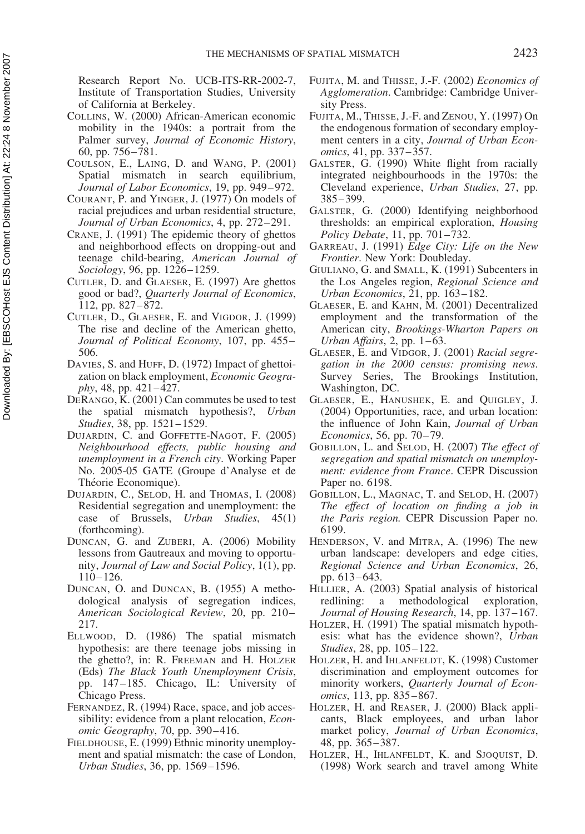Research Report No. UCB-ITS-RR-2002-7, Institute of Transportation Studies, University of California at Berkeley.

- COLLINS, W. (2000) African-American economic mobility in the 1940s: a portrait from the Palmer survey, Journal of Economic History, 60, pp. 756–781.
- COULSON, E., LAING, D. and WANG, P. (2001) Spatial mismatch in search equilibrium, Journal of Labor Economics, 19, pp. 949–972.
- COURANT, P. and YINGER, J. (1977) On models of racial prejudices and urban residential structure, Journal of Urban Economics, 4, pp. 272–291.
- CRANE, J. (1991) The epidemic theory of ghettos and neighborhood effects on dropping-out and teenage child-bearing, American Journal of Sociology, 96, pp. 1226–1259.
- CUTLER, D. and GLAESER, E. (1997) Are ghettos good or bad?, Quarterly Journal of Economics, 112, pp. 827–872.
- CUTLER, D., GLAESER, E. and VIGDOR, J. (1999) The rise and decline of the American ghetto, Journal of Political Economy, 107, pp. 455– 506.
- DAVIES, S. and HUFF, D. (1972) Impact of ghettoization on black employment, Economic Geography, 48, pp. 421–427.
- DERANGO, K. (2001) Can commutes be used to test the spatial mismatch hypothesis?, Urban Studies, 38, pp. 1521–1529.
- DUJARDIN, C. and GOFFETTE-NAGOT, F. (2005) Neighbourhood effects, public housing and unemployment in a French city. Working Paper No. 2005-05 GATE (Groupe d'Analyse et de Théorie Economique).
- DUJARDIN, C., SELOD, H. and THOMAS, I. (2008) Residential segregation and unemployment: the case of Brussels, Urban Studies, 45(1) (forthcoming).
- DUNCAN, G. and ZUBERI, A. (2006) Mobility lessons from Gautreaux and moving to opportunity, Journal of Law and Social Policy, 1(1), pp. 110–126.
- DUNCAN, O. and DUNCAN, B. (1955) A methodological analysis of segregation indices, American Sociological Review, 20, pp. 210– 217.
- ELLWOOD, D. (1986) The spatial mismatch hypothesis: are there teenage jobs missing in the ghetto?, in: R. FREEMAN and H. HOLZER (Eds) The Black Youth Unemployment Crisis, pp. 147–185. Chicago, IL: University of Chicago Press.
- FERNANDEZ, R. (1994) Race, space, and job accessibility: evidence from a plant relocation, *Econ*omic Geography, 70, pp. 390–416.
- FIELDHOUSE, E. (1999) Ethnic minority unemployment and spatial mismatch: the case of London, Urban Studies, 36, pp. 1569–1596.
- FUJITA, M. and THISSE, J.-F. (2002) Economics of Agglomeration. Cambridge: Cambridge University Press.
- FUJITA, M., THISSE, J.-F. and ZENOU, Y. (1997) On the endogenous formation of secondary employment centers in a city, Journal of Urban Economics, 41, pp. 337–357.
- GALSTER, G. (1990) White flight from racially integrated neighbourhoods in the 1970s: the Cleveland experience, Urban Studies, 27, pp. 385–399.
- GALSTER, G. (2000) Identifying neighborhood thresholds: an empirical exploration, Housing Policy Debate, 11, pp. 701–732.
- GARREAU, J. (1991) Edge City: Life on the New Frontier. New York: Doubleday.
- GIULIANO, G. and SMALL, K. (1991) Subcenters in the Los Angeles region, Regional Science and Urban Economics, 21, pp. 163–182.
- GLAESER, E. and KAHN, M. (2001) Decentralized employment and the transformation of the American city, Brookings-Wharton Papers on Urban Affairs, 2, pp. 1–63.
- GLAESER, E. and VIDGOR, J. (2001) Racial segregation in the 2000 census: promising news. Survey Series, The Brookings Institution, Washington, DC.
- GLAESER, E., HANUSHEK, E. and QUIGLEY, J. (2004) Opportunities, race, and urban location: the influence of John Kain, Journal of Urban Economics, 56, pp. 70–79.
- GOBILLON, L. and SELOD, H. (2007) The effect of segregation and spatial mismatch on unemployment: evidence from France. CEPR Discussion Paper no. 6198.
- GOBILLON, L., MAGNAC, T. and SELOD, H. (2007) The effect of location on finding a job in the Paris region. CEPR Discussion Paper no. 6199.
- HENDERSON, V. and MITRA, A. (1996) The new urban landscape: developers and edge cities, Regional Science and Urban Economics, 26, pp. 613–643.
- HILLIER, A. (2003) Spatial analysis of historical redlining: a methodological exploration, Journal of Housing Research, 14, pp. 137–167.
- HOLZER, H. (1991) The spatial mismatch hypothesis: what has the evidence shown?, Urban Studies, 28, pp. 105–122.
- HOLZER, H. and IHLANFELDT, K. (1998) Customer discrimination and employment outcomes for minority workers, Quarterly Journal of Economics, 113, pp. 835–867.
- HOLZER, H. and REASER, J. (2000) Black applicants, Black employees, and urban labor market policy, Journal of Urban Economics, 48, pp. 365–387.
- HOLZER, H., IHLANFELDT, K. and SJOQUIST, D. (1998) Work search and travel among White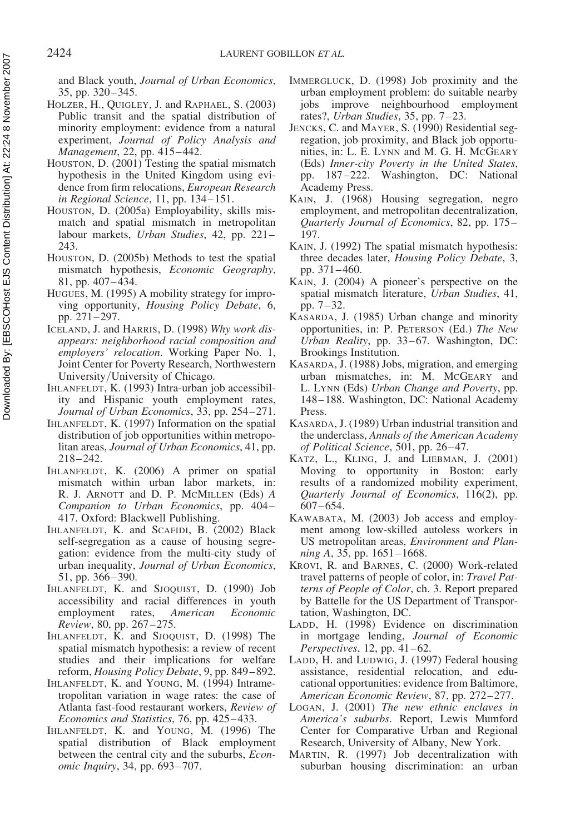and Black youth, Journal of Urban Economics, 35, pp. 320–345.

- HOLZER, H., QUIGLEY, J. and RAPHAEL, S. (2003) Public transit and the spatial distribution of minority employment: evidence from a natural experiment, Journal of Policy Analysis and Management, 22, pp. 415–442.
- HOUSTON, D. (2001) Testing the spatial mismatch hypothesis in the United Kingdom using evidence from firm relocations, European Research in Regional Science, 11, pp. 134–151.
- HOUSTON, D. (2005a) Employability, skills mismatch and spatial mismatch in metropolitan labour markets, Urban Studies, 42, pp. 221– 243.
- HOUSTON, D. (2005b) Methods to test the spatial mismatch hypothesis, Economic Geography, 81, pp. 407–434.
- HUGUES, M. (1995) A mobility strategy for improving opportunity, Housing Policy Debate, 6, pp. 271–297.
- ICELAND, J. and HARRIS, D. (1998) Why work disappears: neighborhood racial composition and employers' relocation. Working Paper No. 1, Joint Center for Poverty Research, Northwestern University/University of Chicago.
- IHLANFELDT, K. (1993) Intra-urban job accessibility and Hispanic youth employment rates, Journal of Urban Economics, 33, pp. 254–271.
- IHLANFELDT, K. (1997) Information on the spatial distribution of job opportunities within metropolitan areas, Journal of Urban Economics, 41, pp. 218–242.
- IHLANFELDT, K. (2006) A primer on spatial mismatch within urban labor markets, in: R. J. ARNOTT and D. P. MCMILLEN (Eds) A Companion to Urban Economics, pp. 404– 417. Oxford: Blackwell Publishing.
- IHLANFELDT, K. and SCAFIDI, B. (2002) Black self-segregation as a cause of housing segregation: evidence from the multi-city study of urban inequality, Journal of Urban Economics, 51, pp. 366–390.
- IHLANFELDT, K. and SJOQUIST, D. (1990) Job accessibility and racial differences in youth employment rates, American Economic Review, 80, pp. 267–275.
- IHLANFELDT, K. and SJOQUIST, D. (1998) The spatial mismatch hypothesis: a review of recent studies and their implications for welfare reform, Housing Policy Debate, 9, pp. 849–892.
- IHLANFELDT, K. and YOUNG, M. (1994) Intrametropolitan variation in wage rates: the case of Atlanta fast-food restaurant workers, Review of Economics and Statistics, 76, pp. 425–433.
- IHLANFELDT, K. and YOUNG, M. (1996) The spatial distribution of Black employment between the central city and the suburbs, Economic Inquiry, 34, pp. 693–707.
- IMMERGLUCK, D. (1998) Job proximity and the urban employment problem: do suitable nearby jobs improve neighbourhood employment rates?, Urban Studies, 35, pp. 7–23.
- JENCKS, C. and MAYER, S. (1990) Residential segregation, job proximity, and Black job opportunities, in: L. E. LYNN and M. G. H. MCGEARY (Eds) Inner-city Poverty in the United States, pp. 187–222. Washington, DC: National Academy Press.
- KAIN, J. (1968) Housing segregation, negro employment, and metropolitan decentralization, Quarterly Journal of Economics, 82, pp. 175– 197.
- KAIN, J. (1992) The spatial mismatch hypothesis: three decades later, Housing Policy Debate, 3, pp. 371–460.
- KAIN, J. (2004) A pioneer's perspective on the spatial mismatch literature, Urban Studies, 41, pp. 7–32.
- KASARDA, J. (1985) Urban change and minority opportunities, in: P. PETERSON (Ed.) The New Urban Reality, pp. 33–67. Washington, DC: Brookings Institution.
- KASARDA, J. (1988) Jobs, migration, and emerging urban mismatches, in: M. MCGEARY and L. LYNN (Eds) Urban Change and Poverty, pp. 148–188. Washington, DC: National Academy Press.
- KASARDA, J. (1989) Urban industrial transition and the underclass, Annals of the American Academy of Political Science, 501, pp. 26–47.
- KATZ, L., KLING, J. and LIEBMAN, J. (2001) Moving to opportunity in Boston: early results of a randomized mobility experiment, Quarterly Journal of Economics, 116(2), pp. 607–654.
- KAWABATA, M. (2003) Job access and employment among low-skilled autoless workers in US metropolitan areas, Environment and Planning A, 35, pp. 1651–1668.
- KROVI, R. and BARNES, C. (2000) Work-related travel patterns of people of color, in: Travel Patterns of People of Color, ch. 3. Report prepared by Battelle for the US Department of Transportation, Washington, DC.
- LADD, H. (1998) Evidence on discrimination in mortgage lending, Journal of Economic Perspectives, 12, pp. 41–62.
- LADD, H. and LUDWIG, J. (1997) Federal housing assistance, residential relocation, and educational opportunities: evidence from Baltimore, American Economic Review, 87, pp. 272–277.
- LOGAN, J. (2001) The new ethnic enclaves in America's suburbs. Report, Lewis Mumford Center for Comparative Urban and Regional Research, University of Albany, New York.
- MARTIN, R. (1997) Job decentralization with suburban housing discrimination: an urban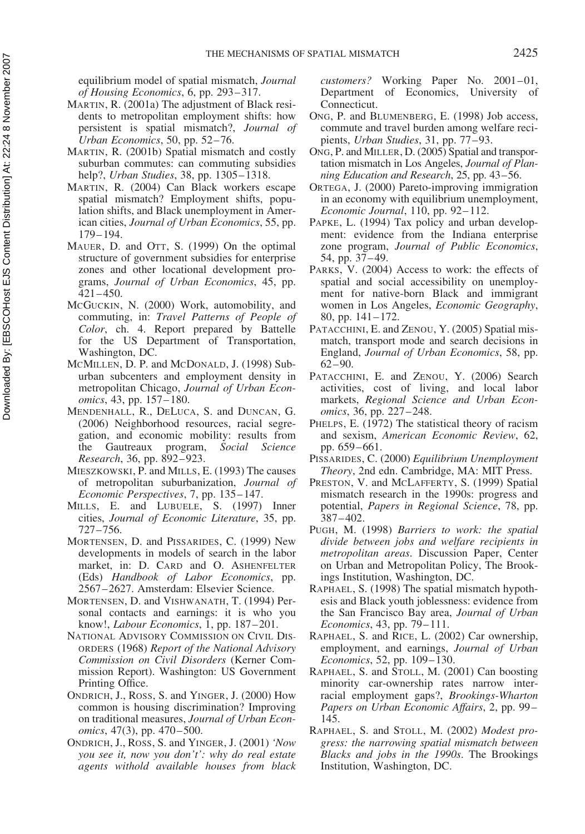equilibrium model of spatial mismatch, Journal of Housing Economics, 6, pp. 293–317.

- MARTIN, R. (2001a) The adjustment of Black residents to metropolitan employment shifts: how persistent is spatial mismatch?, Journal of Urban Economics, 50, pp. 52–76.
- MARTIN, R. (2001b) Spatial mismatch and costly suburban commutes: can commuting subsidies help?, Urban Studies, 38, pp. 1305–1318.
- MARTIN, R. (2004) Can Black workers escape spatial mismatch? Employment shifts, population shifts, and Black unemployment in American cities, Journal of Urban Economics, 55, pp. 179–194.
- MAUER, D. and OTT, S. (1999) On the optimal structure of government subsidies for enterprise zones and other locational development programs, Journal of Urban Economics, 45, pp. 421–450.
- MCGUCKIN, N. (2000) Work, automobility, and commuting, in: Travel Patterns of People of Color, ch. 4. Report prepared by Battelle for the US Department of Transportation, Washington, DC.
- MCMILLEN, D. P. and MCDONALD, J. (1998) Suburban subcenters and employment density in metropolitan Chicago, Journal of Urban Economics, 43, pp. 157–180.
- MENDENHALL, R., DELUCA, S. and DUNCAN, G. (2006) Neighborhood resources, racial segregation, and economic mobility: results from the Gautreaux program, Social Science Research, 36, pp. 892–923.
- MIESZKOWSKI, P. and MILLS, E. (1993) The causes of metropolitan suburbanization, Journal of Economic Perspectives, 7, pp. 135–147.
- MILLS, E. and LUBUELE, S. (1997) Inner cities, Journal of Economic Literature, 35, pp. 727–756.
- MORTENSEN, D. and PISSARIDES, C. (1999) New developments in models of search in the labor market, in: D. CARD and O. ASHENFELTER (Eds) Handbook of Labor Economics, pp. 2567–2627. Amsterdam: Elsevier Science.
- MORTENSEN, D. and VISHWANATH, T. (1994) Personal contacts and earnings: it is who you know!, Labour Economics, 1, pp. 187–201.
- NATIONAL ADVISORY COMMISSION ON CIVIL DIS-ORDERS (1968) Report of the National Advisory Commission on Civil Disorders (Kerner Commission Report). Washington: US Government Printing Office.
- ONDRICH, J., ROSS, S. and YINGER, J. (2000) How common is housing discrimination? Improving on traditional measures, Journal of Urban Economics, 47(3), pp. 470–500.
- ONDRICH, J., ROSS, S. and YINGER, J. (2001) 'Now you see it, now you don't': why do real estate agents withold available houses from black

customers? Working Paper No. 2001–01, Department of Economics, University of Connecticut.

- ONG, P. and BLUMENBERG, E. (1998) Job access, commute and travel burden among welfare recipients, Urban Studies, 31, pp. 77–93.
- ONG, P. and MILLER, D. (2005) Spatial and transportation mismatch in Los Angeles, Journal of Planning Education and Research, 25, pp. 43–56.
- ORTEGA, J. (2000) Pareto-improving immigration in an economy with equilibrium unemployment, Economic Journal, 110, pp. 92–112.
- PAPKE, L. (1994) Tax policy and urban development: evidence from the Indiana enterprise zone program, Journal of Public Economics, 54, pp. 37–49.
- PARKS, V. (2004) Access to work: the effects of spatial and social accessibility on unemployment for native-born Black and immigrant women in Los Angeles, Economic Geography, 80, pp. 141–172.
- PATACCHINI, E. and ZENOU, Y. (2005) Spatial mismatch, transport mode and search decisions in England, Journal of Urban Economics, 58, pp. 62–90.
- PATACCHINI, E. and ZENOU, Y. (2006) Search activities, cost of living, and local labor markets, Regional Science and Urban Economics, 36, pp. 227–248.
- PHELPS, E. (1972) The statistical theory of racism and sexism, American Economic Review, 62, pp. 659–661.
- PISSARIDES, C. (2000) Equilibrium Unemployment Theory, 2nd edn. Cambridge, MA: MIT Press.
- PRESTON, V. and MCLAFFERTY, S. (1999) Spatial mismatch research in the 1990s: progress and potential, Papers in Regional Science, 78, pp. 387–402.
- PUGH, M. (1998) Barriers to work: the spatial divide between jobs and welfare recipients in metropolitan areas. Discussion Paper, Center on Urban and Metropolitan Policy, The Brookings Institution, Washington, DC.
- RAPHAEL, S. (1998) The spatial mismatch hypothesis and Black youth joblessness: evidence from the San Francisco Bay area, Journal of Urban Economics, 43, pp. 79–111.
- RAPHAEL, S. and RICE, L. (2002) Car ownership, employment, and earnings, Journal of Urban Economics, 52, pp. 109–130.
- RAPHAEL, S. and STOLL, M. (2001) Can boosting minority car-ownership rates narrow interracial employment gaps?, Brookings-Wharton Papers on Urban Economic Affairs, 2, pp. 99– 145.
- RAPHAEL, S. and STOLL, M. (2002) Modest progress: the narrowing spatial mismatch between Blacks and jobs in the 1990s. The Brookings Institution, Washington, DC.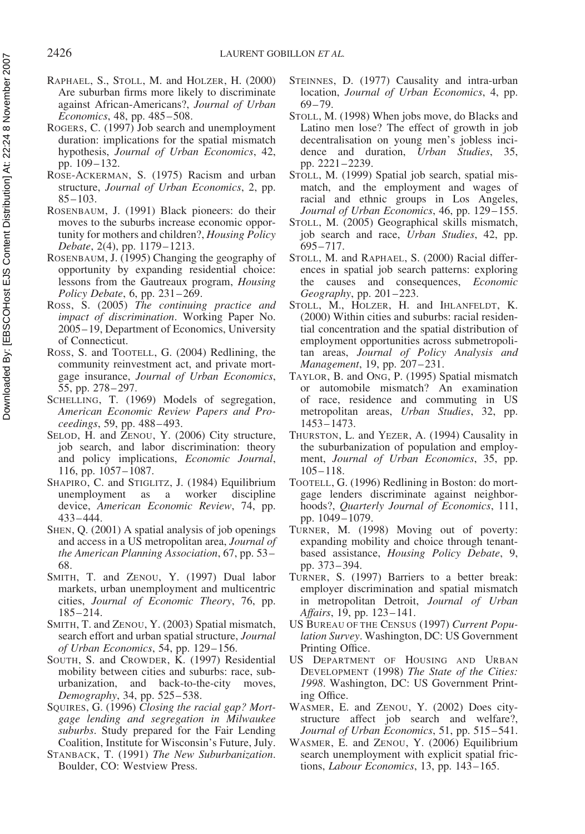- RAPHAEL, S., STOLL, M. and HOLZER, H. (2000) Are suburban firms more likely to discriminate against African-Americans?, Journal of Urban Economics, 48, pp. 485–508.
- ROGERS, C. (1997) Job search and unemployment duration: implications for the spatial mismatch hypothesis, Journal of Urban Economics, 42, pp. 109–132.
- ROSE-ACKERMAN, S. (1975) Racism and urban structure, Journal of Urban Economics, 2, pp. 85–103.
- ROSENBAUM, J. (1991) Black pioneers: do their moves to the suburbs increase economic opportunity for mothers and children?, Housing Policy Debate, 2(4), pp. 1179–1213.
- ROSENBAUM, J. (1995) Changing the geography of opportunity by expanding residential choice: lessons from the Gautreaux program, Housing Policy Debate, 6, pp. 231–269.
- ROSS, S. (2005) The continuing practice and impact of discrimination. Working Paper No. 2005–19, Department of Economics, University of Connecticut.
- ROSS, S. and TOOTELL, G. (2004) Redlining, the community reinvestment act, and private mortgage insurance, Journal of Urban Economics, 55, pp. 278–297.
- SCHELLING, T. (1969) Models of segregation, American Economic Review Papers and Proceedings, 59, pp. 488–493.
- SELOD, H. and ZENOU, Y. (2006) City structure, job search, and labor discrimination: theory and policy implications, Economic Journal, 116, pp. 1057–1087.
- SHAPIRO, C. and STIGLITZ, J. (1984) Equilibrium unemployment as a worker discipline device, American Economic Review, 74, pp. 433–444.
- SHEN, Q. (2001) A spatial analysis of job openings and access in a US metropolitan area, Journal of the American Planning Association, 67, pp. 53– 68.
- SMITH, T. and ZENOU, Y. (1997) Dual labor markets, urban unemployment and multicentric cities, Journal of Economic Theory, 76, pp. 185–214.
- SMITH, T. and ZENOU, Y. (2003) Spatial mismatch, search effort and urban spatial structure, Journal of Urban Economics, 54, pp. 129–156.
- SOUTH, S. and CROWDER, K. (1997) Residential mobility between cities and suburbs: race, suburbanization, and back-to-the-city moves, Demography, 34, pp. 525–538.
- SQUIRES, G. (1996) Closing the racial gap? Mortgage lending and segregation in Milwaukee suburbs. Study prepared for the Fair Lending Coalition, Institute for Wisconsin's Future, July.
- STANBACK, T. (1991) The New Suburbanization. Boulder, CO: Westview Press.
- STEINNES, D. (1977) Causality and intra-urban location, Journal of Urban Economics, 4, pp. 69–79.
- STOLL, M. (1998) When jobs move, do Blacks and Latino men lose? The effect of growth in job decentralisation on young men's jobless incidence and duration, Urban Studies, 35, pp. 2221–2239.
- STOLL, M. (1999) Spatial job search, spatial mismatch, and the employment and wages of racial and ethnic groups in Los Angeles, Journal of Urban Economics, 46, pp. 129–155.
- STOLL, M. (2005) Geographical skills mismatch, job search and race, Urban Studies, 42, pp. 695–717.
- STOLL, M. and RAPHAEL, S. (2000) Racial differences in spatial job search patterns: exploring the causes and consequences, Economic Geography, pp. 201–223.
- STOLL, M., HOLZER, H. and IHLANFELDT, K. (2000) Within cities and suburbs: racial residential concentration and the spatial distribution of employment opportunities across submetropolitan areas, Journal of Policy Analysis and Management, 19, pp. 207–231.
- TAYLOR, B. and ONG, P. (1995) Spatial mismatch or automobile mismatch? An examination of race, residence and commuting in US metropolitan areas, Urban Studies, 32, pp. 1453–1473.
- THURSTON, L. and YEZER, A. (1994) Causality in the suburbanization of population and employment, Journal of Urban Economics, 35, pp. 105–118.
- TOOTELL, G. (1996) Redlining in Boston: do mortgage lenders discriminate against neighborhoods?, Quarterly Journal of Economics, 111, pp. 1049–1079.
- TURNER, M. (1998) Moving out of poverty: expanding mobility and choice through tenantbased assistance, Housing Policy Debate, 9, pp. 373–394.
- TURNER, S. (1997) Barriers to a better break: employer discrimination and spatial mismatch in metropolitan Detroit, Journal of Urban Affairs, 19, pp. 123–141.
- US BUREAU OF THE CENSUS (1997) Current Population Survey. Washington, DC: US Government Printing Office.
- US DEPARTMENT OF HOUSING AND URBAN DEVELOPMENT (1998) The State of the Cities: 1998. Washington, DC: US Government Printing Office.
- WASMER, E. and ZENOU, Y. (2002) Does citystructure affect job search and welfare?, Journal of Urban Economics, 51, pp. 515–541.
- WASMER, E. and ZENOU, Y. (2006) Equilibrium search unemployment with explicit spatial frictions, Labour Economics, 13, pp. 143–165.